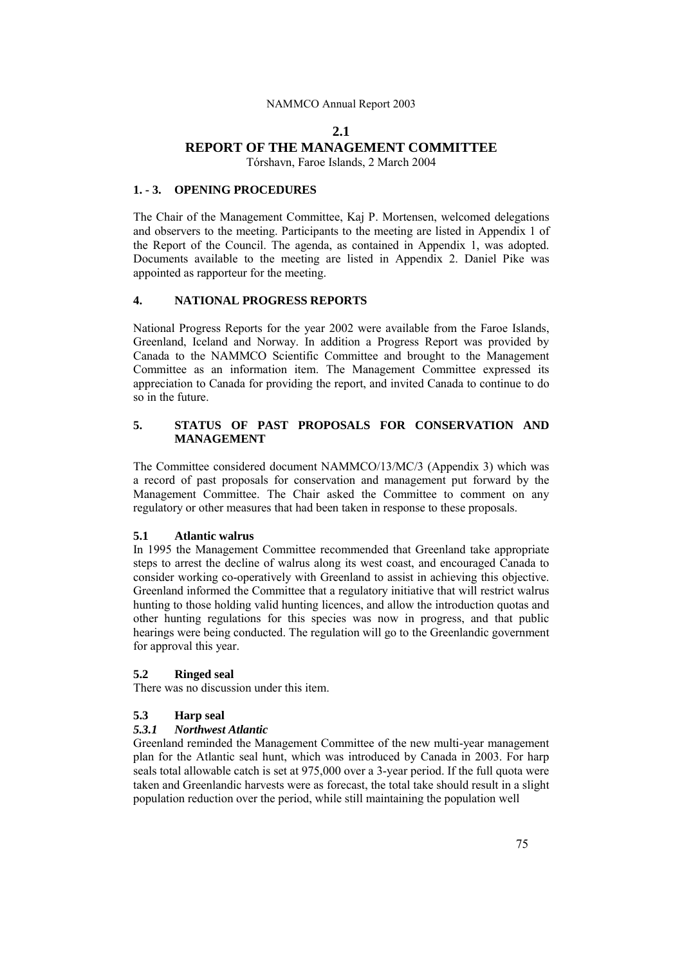#### **2.1**

# **REPORT OF THE MANAGEMENT COMMITTEE**

Tórshavn, Faroe Islands, 2 March 2004

#### **1. - 3. OPENING PROCEDURES**

The Chair of the Management Committee, Kaj P. Mortensen, welcomed delegations and observers to the meeting. Participants to the meeting are listed in Appendix 1 of the Report of the Council. The agenda, as contained in Appendix 1, was adopted. Documents available to the meeting are listed in Appendix 2. Daniel Pike was appointed as rapporteur for the meeting.

### **4. NATIONAL PROGRESS REPORTS**

National Progress Reports for the year 2002 were available from the Faroe Islands, Greenland, Iceland and Norway. In addition a Progress Report was provided by Canada to the NAMMCO Scientific Committee and brought to the Management Committee as an information item. The Management Committee expressed its appreciation to Canada for providing the report, and invited Canada to continue to do so in the future.

### **5. STATUS OF PAST PROPOSALS FOR CONSERVATION AND MANAGEMENT**

The Committee considered document NAMMCO/13/MC/3 (Appendix 3) which was a record of past proposals for conservation and management put forward by the Management Committee. The Chair asked the Committee to comment on any regulatory or other measures that had been taken in response to these proposals.

#### **5.1 Atlantic walrus**

In 1995 the Management Committee recommended that Greenland take appropriate steps to arrest the decline of walrus along its west coast, and encouraged Canada to consider working co-operatively with Greenland to assist in achieving this objective. Greenland informed the Committee that a regulatory initiative that will restrict walrus hunting to those holding valid hunting licences, and allow the introduction quotas and other hunting regulations for this species was now in progress, and that public hearings were being conducted. The regulation will go to the Greenlandic government for approval this year.

#### **5.2 Ringed seal**

There was no discussion under this item.

### **5.3 Harp seal**

#### *5.3.1 Northwest Atlantic*

Greenland reminded the Management Committee of the new multi-year management plan for the Atlantic seal hunt, which was introduced by Canada in 2003. For harp seals total allowable catch is set at 975,000 over a 3-year period. If the full quota were taken and Greenlandic harvests were as forecast, the total take should result in a slight population reduction over the period, while still maintaining the population well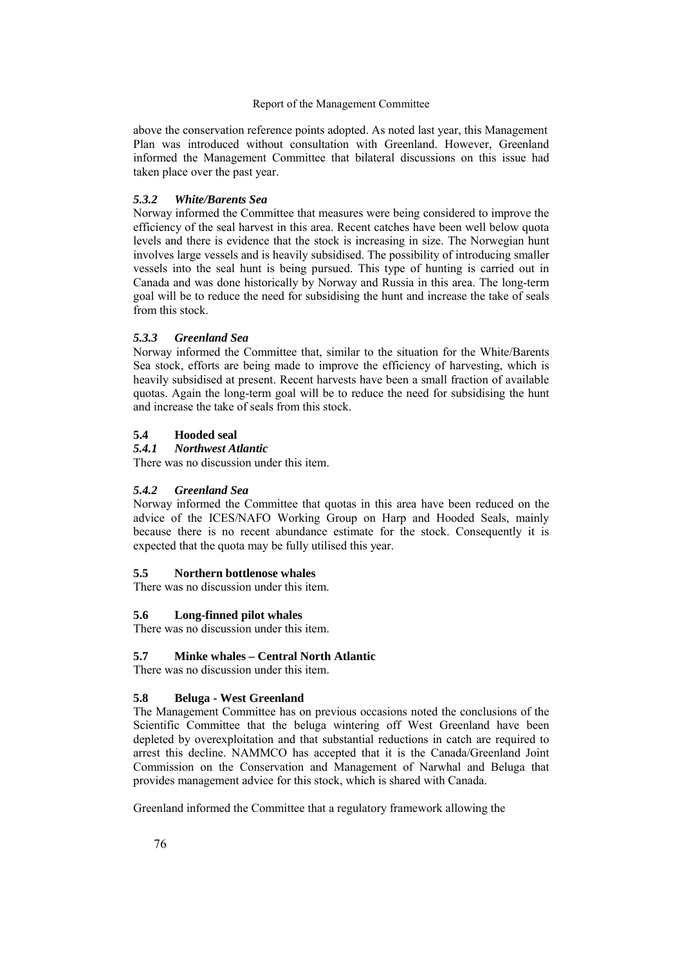above the conservation reference points adopted. As noted last year, this Management Plan was introduced without consultation with Greenland. However, Greenland informed the Management Committee that bilateral discussions on this issue had taken place over the past year.

### *5.3.2 White/Barents Sea*

Norway informed the Committee that measures were being considered to improve the efficiency of the seal harvest in this area. Recent catches have been well below quota levels and there is evidence that the stock is increasing in size. The Norwegian hunt involves large vessels and is heavily subsidised. The possibility of introducing smaller vessels into the seal hunt is being pursued. This type of hunting is carried out in Canada and was done historically by Norway and Russia in this area. The long-term goal will be to reduce the need for subsidising the hunt and increase the take of seals from this stock.

# *5.3.3 Greenland Sea*

Norway informed the Committee that, similar to the situation for the White/Barents Sea stock, efforts are being made to improve the efficiency of harvesting, which is heavily subsidised at present. Recent harvests have been a small fraction of available quotas. Again the long-term goal will be to reduce the need for subsidising the hunt and increase the take of seals from this stock.

# **5.4 Hooded seal**

### *5.4.1 Northwest Atlantic*

There was no discussion under this item.

# *5.4.2 Greenland Sea*

Norway informed the Committee that quotas in this area have been reduced on the advice of the ICES/NAFO Working Group on Harp and Hooded Seals, mainly because there is no recent abundance estimate for the stock. Consequently it is expected that the quota may be fully utilised this year.

### **5.5 Northern bottlenose whales**

There was no discussion under this item.

# **5.6 Long-finned pilot whales**

There was no discussion under this item.

# **5.7 Minke whales – Central North Atlantic**

There was no discussion under this item.

# **5.8 Beluga - West Greenland**

The Management Committee has on previous occasions noted the conclusions of the Scientific Committee that the beluga wintering off West Greenland have been depleted by overexploitation and that substantial reductions in catch are required to arrest this decline. NAMMCO has accepted that it is the Canada/Greenland Joint Commission on the Conservation and Management of Narwhal and Beluga that provides management advice for this stock, which is shared with Canada.

Greenland informed the Committee that a regulatory framework allowing the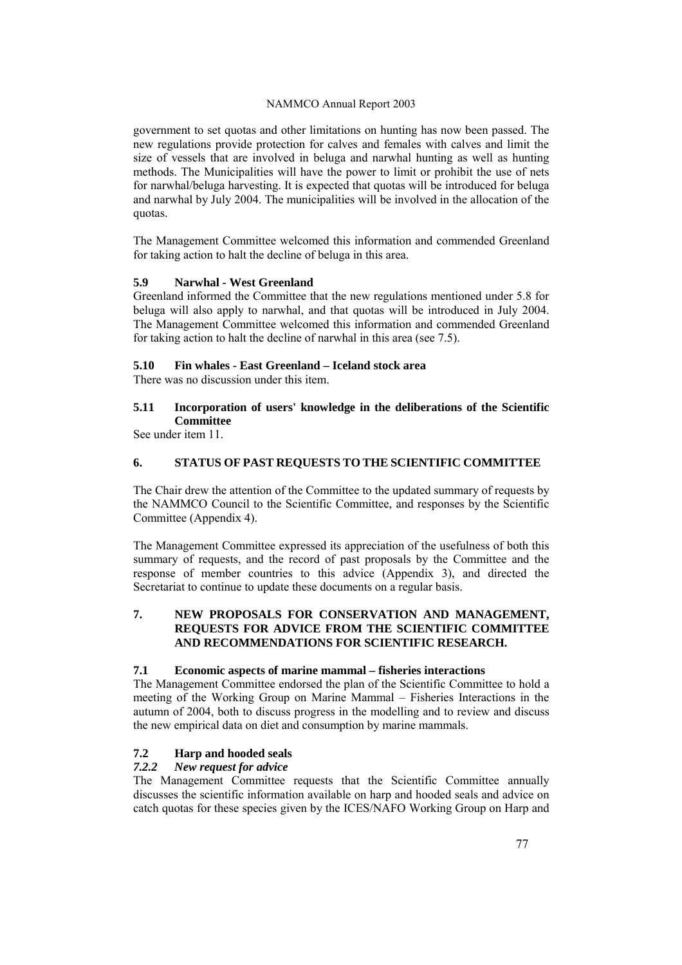government to set quotas and other limitations on hunting has now been passed. The new regulations provide protection for calves and females with calves and limit the size of vessels that are involved in beluga and narwhal hunting as well as hunting methods. The Municipalities will have the power to limit or prohibit the use of nets for narwhal/beluga harvesting. It is expected that quotas will be introduced for beluga and narwhal by July 2004. The municipalities will be involved in the allocation of the quotas.

The Management Committee welcomed this information and commended Greenland for taking action to halt the decline of beluga in this area.

### **5.9 Narwhal - West Greenland**

Greenland informed the Committee that the new regulations mentioned under 5.8 for beluga will also apply to narwhal, and that quotas will be introduced in July 2004. The Management Committee welcomed this information and commended Greenland for taking action to halt the decline of narwhal in this area (see 7.5).

### **5.10 Fin whales - East Greenland – Iceland stock area**

There was no discussion under this item.

# **5.11 Incorporation of users' knowledge in the deliberations of the Scientific Committee**

See under item 11.

# **6. STATUS OF PAST REQUESTS TO THE SCIENTIFIC COMMITTEE**

The Chair drew the attention of the Committee to the updated summary of requests by the NAMMCO Council to the Scientific Committee, and responses by the Scientific Committee (Appendix 4).

The Management Committee expressed its appreciation of the usefulness of both this summary of requests, and the record of past proposals by the Committee and the response of member countries to this advice (Appendix 3), and directed the Secretariat to continue to update these documents on a regular basis.

### **7. NEW PROPOSALS FOR CONSERVATION AND MANAGEMENT, REQUESTS FOR ADVICE FROM THE SCIENTIFIC COMMITTEE AND RECOMMENDATIONS FOR SCIENTIFIC RESEARCH.**

### **7.1 Economic aspects of marine mammal – fisheries interactions**

The Management Committee endorsed the plan of the Scientific Committee to hold a meeting of the Working Group on Marine Mammal – Fisheries Interactions in the autumn of 2004, both to discuss progress in the modelling and to review and discuss the new empirical data on diet and consumption by marine mammals.

# **7.2 Harp and hooded seals**

# *7.2.2 New request for advice*

The Management Committee requests that the Scientific Committee annually discusses the scientific information available on harp and hooded seals and advice on catch quotas for these species given by the ICES/NAFO Working Group on Harp and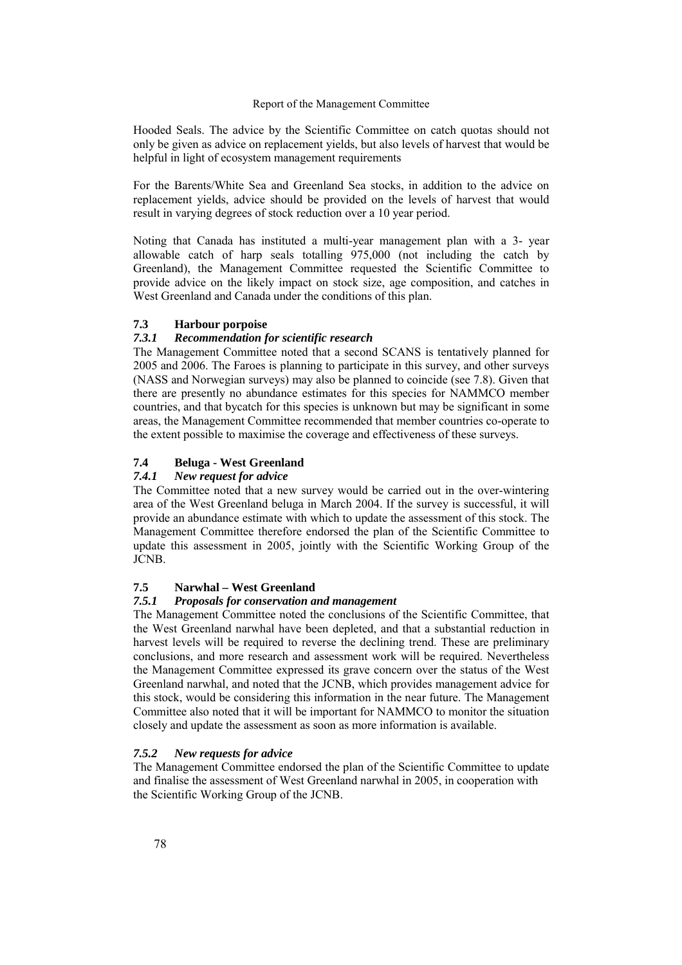Hooded Seals. The advice by the Scientific Committee on catch quotas should not only be given as advice on replacement yields, but also levels of harvest that would be helpful in light of ecosystem management requirements

For the Barents/White Sea and Greenland Sea stocks, in addition to the advice on replacement yields, advice should be provided on the levels of harvest that would result in varying degrees of stock reduction over a 10 year period.

Noting that Canada has instituted a multi-year management plan with a 3- year allowable catch of harp seals totalling 975,000 (not including the catch by Greenland), the Management Committee requested the Scientific Committee to provide advice on the likely impact on stock size, age composition, and catches in West Greenland and Canada under the conditions of this plan.

### **7.3 Harbour porpoise**

#### *7.3.1 Recommendation for scientific research*

The Management Committee noted that a second SCANS is tentatively planned for 2005 and 2006. The Faroes is planning to participate in this survey, and other surveys (NASS and Norwegian surveys) may also be planned to coincide (see 7.8). Given that there are presently no abundance estimates for this species for NAMMCO member countries, and that bycatch for this species is unknown but may be significant in some areas, the Management Committee recommended that member countries co-operate to the extent possible to maximise the coverage and effectiveness of these surveys.

# **7.4 Beluga - West Greenland**

### *7.4.1 New request for advice*

The Committee noted that a new survey would be carried out in the over-wintering area of the West Greenland beluga in March 2004. If the survey is successful, it will provide an abundance estimate with which to update the assessment of this stock. The Management Committee therefore endorsed the plan of the Scientific Committee to update this assessment in 2005, jointly with the Scientific Working Group of the JCNB.

# **7.5 Narwhal – West Greenland**

### *7.5.1 Proposals for conservation and management*

The Management Committee noted the conclusions of the Scientific Committee, that the West Greenland narwhal have been depleted, and that a substantial reduction in harvest levels will be required to reverse the declining trend. These are preliminary conclusions, and more research and assessment work will be required. Nevertheless the Management Committee expressed its grave concern over the status of the West Greenland narwhal, and noted that the JCNB, which provides management advice for this stock, would be considering this information in the near future. The Management Committee also noted that it will be important for NAMMCO to monitor the situation closely and update the assessment as soon as more information is available.

#### *7.5.2 New requests for advice*

The Management Committee endorsed the plan of the Scientific Committee to update and finalise the assessment of West Greenland narwhal in 2005, in cooperation with the Scientific Working Group of the JCNB.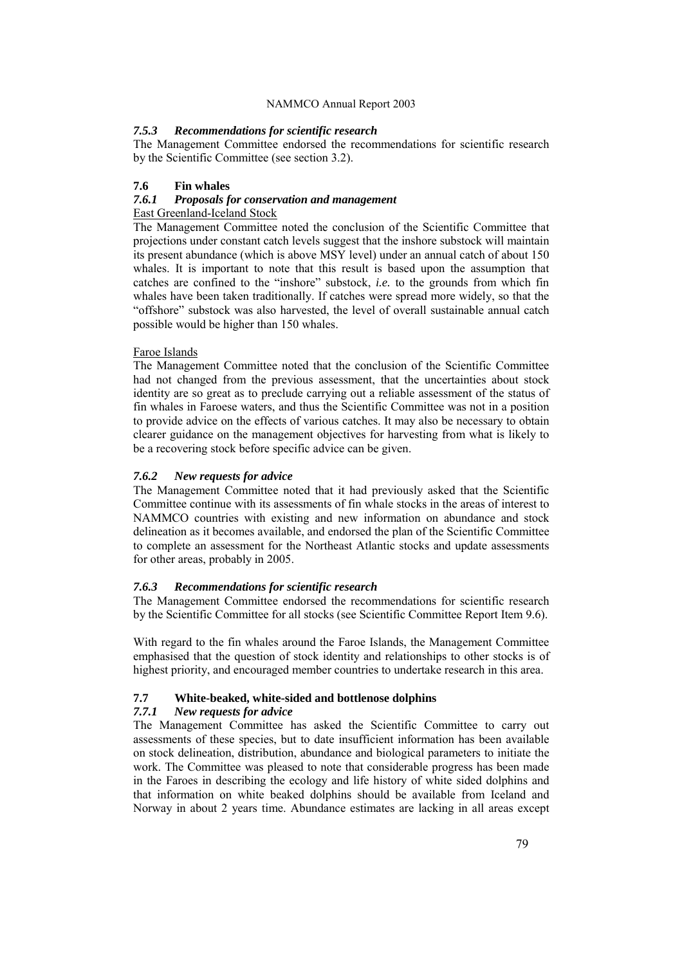#### *7.5.3 Recommendations for scientific research*

The Management Committee endorsed the recommendations for scientific research by the Scientific Committee (see section 3.2).

#### **7.6 Fin whales**

### *7.6.1 Proposals for conservation and management*

#### East Greenland-Iceland Stock

The Management Committee noted the conclusion of the Scientific Committee that projections under constant catch levels suggest that the inshore substock will maintain its present abundance (which is above MSY level) under an annual catch of about 150 whales. It is important to note that this result is based upon the assumption that catches are confined to the "inshore" substock, *i.e.* to the grounds from which fin whales have been taken traditionally. If catches were spread more widely, so that the "offshore" substock was also harvested, the level of overall sustainable annual catch possible would be higher than 150 whales.

#### Faroe Islands

The Management Committee noted that the conclusion of the Scientific Committee had not changed from the previous assessment, that the uncertainties about stock identity are so great as to preclude carrying out a reliable assessment of the status of fin whales in Faroese waters, and thus the Scientific Committee was not in a position to provide advice on the effects of various catches. It may also be necessary to obtain clearer guidance on the management objectives for harvesting from what is likely to be a recovering stock before specific advice can be given.

#### *7.6.2 New requests for advice*

The Management Committee noted that it had previously asked that the Scientific Committee continue with its assessments of fin whale stocks in the areas of interest to NAMMCO countries with existing and new information on abundance and stock delineation as it becomes available, and endorsed the plan of the Scientific Committee to complete an assessment for the Northeast Atlantic stocks and update assessments for other areas, probably in 2005.

#### *7.6.3 Recommendations for scientific research*

The Management Committee endorsed the recommendations for scientific research by the Scientific Committee for all stocks (see Scientific Committee Report Item 9.6).

With regard to the fin whales around the Faroe Islands, the Management Committee emphasised that the question of stock identity and relationships to other stocks is of highest priority, and encouraged member countries to undertake research in this area.

### **7.7 White-beaked, white-sided and bottlenose dolphins**

#### *7.7.1 New requests for advice*

The Management Committee has asked the Scientific Committee to carry out assessments of these species, but to date insufficient information has been available on stock delineation, distribution, abundance and biological parameters to initiate the work. The Committee was pleased to note that considerable progress has been made in the Faroes in describing the ecology and life history of white sided dolphins and that information on white beaked dolphins should be available from Iceland and Norway in about 2 years time. Abundance estimates are lacking in all areas except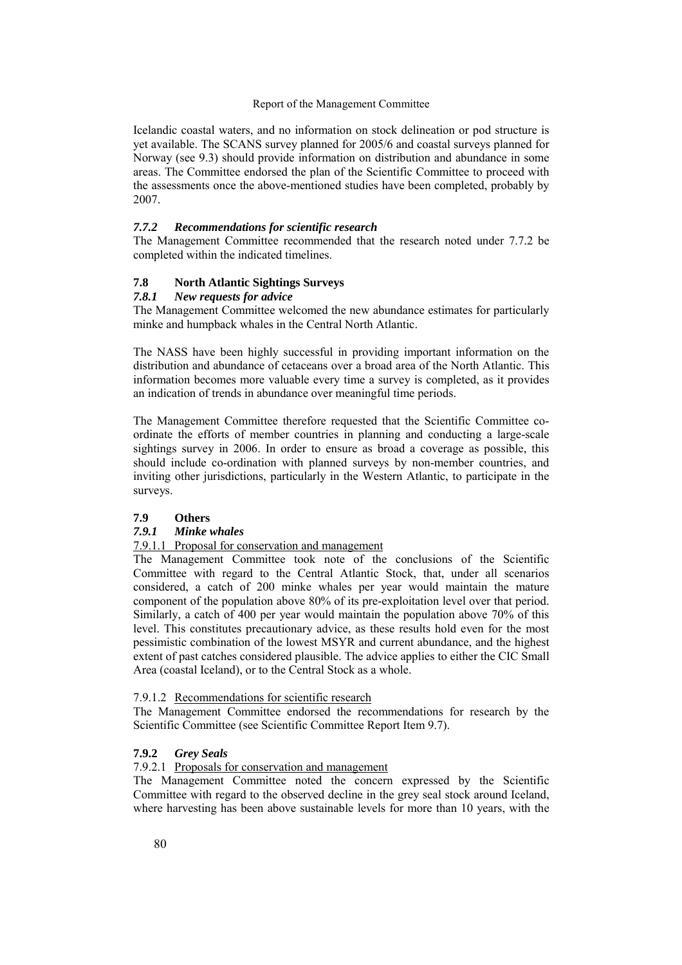Icelandic coastal waters, and no information on stock delineation or pod structure is yet available. The SCANS survey planned for 2005/6 and coastal surveys planned for Norway (see 9.3) should provide information on distribution and abundance in some areas. The Committee endorsed the plan of the Scientific Committee to proceed with the assessments once the above-mentioned studies have been completed, probably by 2007.

#### *7.7.2 Recommendations for scientific research*

The Management Committee recommended that the research noted under 7.7.2 be completed within the indicated timelines.

# **7.8 North Atlantic Sightings Surveys**

### *7.8.1 New requests for advice*

The Management Committee welcomed the new abundance estimates for particularly minke and humpback whales in the Central North Atlantic.

The NASS have been highly successful in providing important information on the distribution and abundance of cetaceans over a broad area of the North Atlantic. This information becomes more valuable every time a survey is completed, as it provides an indication of trends in abundance over meaningful time periods.

The Management Committee therefore requested that the Scientific Committee coordinate the efforts of member countries in planning and conducting a large-scale sightings survey in 2006. In order to ensure as broad a coverage as possible, this should include co-ordination with planned surveys by non-member countries, and inviting other jurisdictions, particularly in the Western Atlantic, to participate in the surveys.

#### **7.9 Others**

### *7.9.1 Minke whales*

# 7.9.1.1 Proposal for conservation and management

The Management Committee took note of the conclusions of the Scientific Committee with regard to the Central Atlantic Stock, that, under all scenarios considered, a catch of 200 minke whales per year would maintain the mature component of the population above 80% of its pre-exploitation level over that period. Similarly, a catch of 400 per year would maintain the population above 70% of this level. This constitutes precautionary advice, as these results hold even for the most pessimistic combination of the lowest MSYR and current abundance, and the highest extent of past catches considered plausible. The advice applies to either the CIC Small Area (coastal Iceland), or to the Central Stock as a whole.

### 7.9.1.2 Recommendations for scientific research

The Management Committee endorsed the recommendations for research by the Scientific Committee (see Scientific Committee Report Item 9.7).

#### **7.9.2** *Grey Seals*

### 7.9.2.1 Proposals for conservation and management

The Management Committee noted the concern expressed by the Scientific Committee with regard to the observed decline in the grey seal stock around Iceland, where harvesting has been above sustainable levels for more than 10 years, with the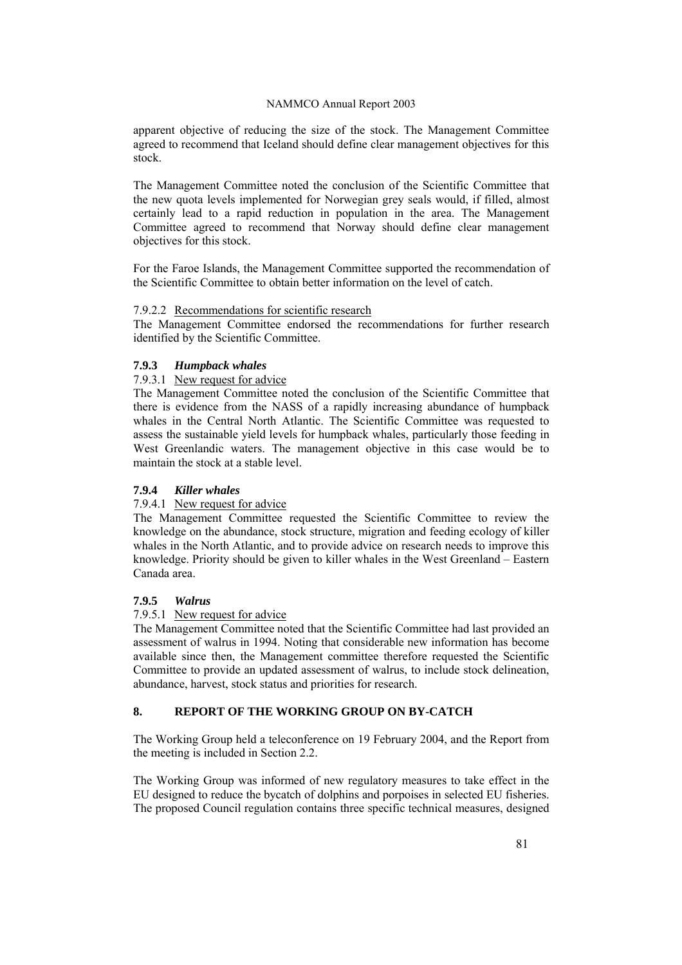apparent objective of reducing the size of the stock. The Management Committee agreed to recommend that Iceland should define clear management objectives for this stock.

The Management Committee noted the conclusion of the Scientific Committee that the new quota levels implemented for Norwegian grey seals would, if filled, almost certainly lead to a rapid reduction in population in the area. The Management Committee agreed to recommend that Norway should define clear management objectives for this stock.

For the Faroe Islands, the Management Committee supported the recommendation of the Scientific Committee to obtain better information on the level of catch.

### 7.9.2.2 Recommendations for scientific research

The Management Committee endorsed the recommendations for further research identified by the Scientific Committee.

### **7.9.3** *Humpback whales*

### 7.9.3.1 New request for advice

The Management Committee noted the conclusion of the Scientific Committee that there is evidence from the NASS of a rapidly increasing abundance of humpback whales in the Central North Atlantic. The Scientific Committee was requested to assess the sustainable yield levels for humpback whales, particularly those feeding in West Greenlandic waters. The management objective in this case would be to maintain the stock at a stable level.

### **7.9.4** *Killer whales*

# 7.9.4.1 New request for advice

The Management Committee requested the Scientific Committee to review the knowledge on the abundance, stock structure, migration and feeding ecology of killer whales in the North Atlantic, and to provide advice on research needs to improve this knowledge. Priority should be given to killer whales in the West Greenland – Eastern Canada area.

### **7.9.5** *Walrus*

### 7.9.5.1 New request for advice

The Management Committee noted that the Scientific Committee had last provided an assessment of walrus in 1994. Noting that considerable new information has become available since then, the Management committee therefore requested the Scientific Committee to provide an updated assessment of walrus, to include stock delineation, abundance, harvest, stock status and priorities for research.

# **8. REPORT OF THE WORKING GROUP ON BY-CATCH**

The Working Group held a teleconference on 19 February 2004, and the Report from the meeting is included in Section 2.2.

The Working Group was informed of new regulatory measures to take effect in the EU designed to reduce the bycatch of dolphins and porpoises in selected EU fisheries. The proposed Council regulation contains three specific technical measures, designed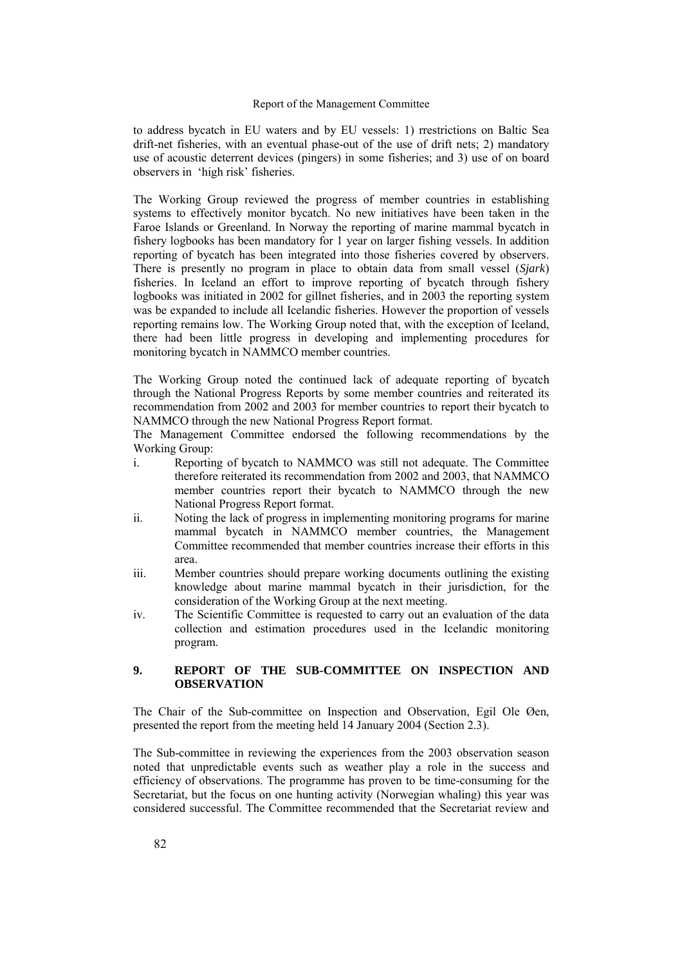to address bycatch in EU waters and by EU vessels: 1) rrestrictions on Baltic Sea drift-net fisheries, with an eventual phase-out of the use of drift nets; 2) mandatory use of acoustic deterrent devices (pingers) in some fisheries; and 3) use of on board observers in 'high risk' fisheries.

The Working Group reviewed the progress of member countries in establishing systems to effectively monitor bycatch. No new initiatives have been taken in the Faroe Islands or Greenland. In Norway the reporting of marine mammal bycatch in fishery logbooks has been mandatory for 1 year on larger fishing vessels. In addition reporting of bycatch has been integrated into those fisheries covered by observers. There is presently no program in place to obtain data from small vessel (*Sjark*) fisheries. In Iceland an effort to improve reporting of bycatch through fishery logbooks was initiated in 2002 for gillnet fisheries, and in 2003 the reporting system was be expanded to include all Icelandic fisheries. However the proportion of vessels reporting remains low. The Working Group noted that, with the exception of Iceland, there had been little progress in developing and implementing procedures for monitoring bycatch in NAMMCO member countries.

The Working Group noted the continued lack of adequate reporting of bycatch through the National Progress Reports by some member countries and reiterated its recommendation from 2002 and 2003 for member countries to report their bycatch to NAMMCO through the new National Progress Report format.

The Management Committee endorsed the following recommendations by the Working Group:

- i. Reporting of bycatch to NAMMCO was still not adequate. The Committee therefore reiterated its recommendation from 2002 and 2003, that NAMMCO member countries report their bycatch to NAMMCO through the new National Progress Report format.
- ii. Noting the lack of progress in implementing monitoring programs for marine mammal bycatch in NAMMCO member countries, the Management Committee recommended that member countries increase their efforts in this area.
- iii. Member countries should prepare working documents outlining the existing knowledge about marine mammal bycatch in their jurisdiction, for the consideration of the Working Group at the next meeting.
- iv. The Scientific Committee is requested to carry out an evaluation of the data collection and estimation procedures used in the Icelandic monitoring program.

# **9. REPORT OF THE SUB-COMMITTEE ON INSPECTION AND OBSERVATION**

The Chair of the Sub-committee on Inspection and Observation, Egil Ole Øen, presented the report from the meeting held 14 January 2004 (Section 2.3).

The Sub-committee in reviewing the experiences from the 2003 observation season noted that unpredictable events such as weather play a role in the success and efficiency of observations. The programme has proven to be time-consuming for the Secretariat, but the focus on one hunting activity (Norwegian whaling) this year was considered successful. The Committee recommended that the Secretariat review and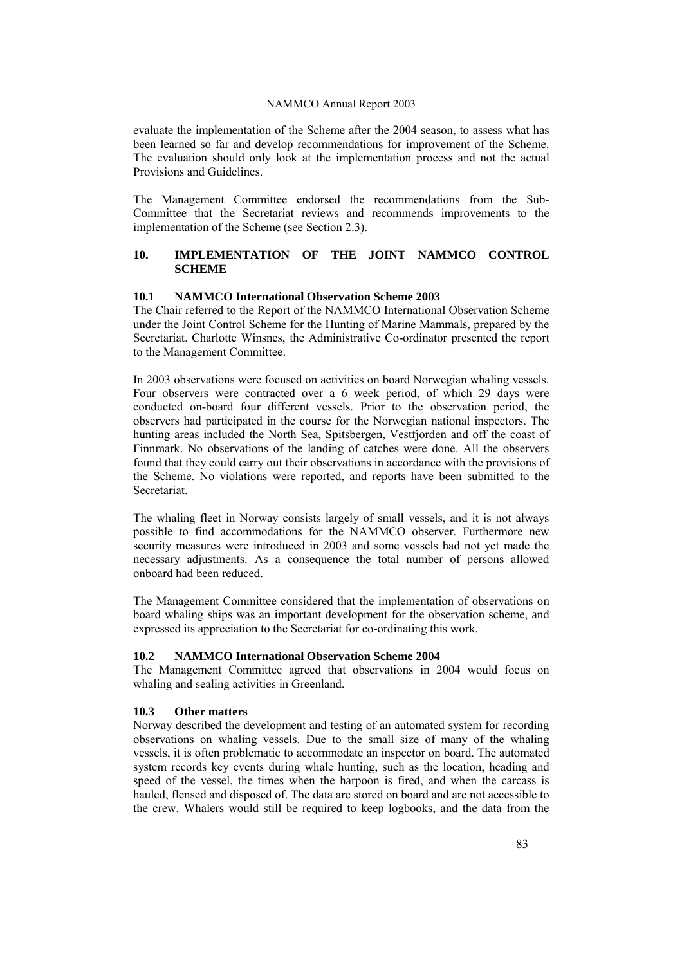evaluate the implementation of the Scheme after the 2004 season, to assess what has been learned so far and develop recommendations for improvement of the Scheme. The evaluation should only look at the implementation process and not the actual Provisions and Guidelines.

The Management Committee endorsed the recommendations from the Sub-Committee that the Secretariat reviews and recommends improvements to the implementation of the Scheme (see Section 2.3).

# **10. IMPLEMENTATION OF THE JOINT NAMMCO CONTROL SCHEME**

### **10.1 NAMMCO International Observation Scheme 2003**

The Chair referred to the Report of the NAMMCO International Observation Scheme under the Joint Control Scheme for the Hunting of Marine Mammals, prepared by the Secretariat. Charlotte Winsnes, the Administrative Co-ordinator presented the report to the Management Committee.

In 2003 observations were focused on activities on board Norwegian whaling vessels. Four observers were contracted over a 6 week period, of which 29 days were conducted on-board four different vessels. Prior to the observation period, the observers had participated in the course for the Norwegian national inspectors. The hunting areas included the North Sea, Spitsbergen, Vestfjorden and off the coast of Finnmark. No observations of the landing of catches were done. All the observers found that they could carry out their observations in accordance with the provisions of the Scheme. No violations were reported, and reports have been submitted to the Secretariat.

The whaling fleet in Norway consists largely of small vessels, and it is not always possible to find accommodations for the NAMMCO observer. Furthermore new security measures were introduced in 2003 and some vessels had not yet made the necessary adjustments. As a consequence the total number of persons allowed onboard had been reduced.

The Management Committee considered that the implementation of observations on board whaling ships was an important development for the observation scheme, and expressed its appreciation to the Secretariat for co-ordinating this work.

#### **10.2 NAMMCO International Observation Scheme 2004**

The Management Committee agreed that observations in 2004 would focus on whaling and sealing activities in Greenland.

### **10.3 Other matters**

Norway described the development and testing of an automated system for recording observations on whaling vessels. Due to the small size of many of the whaling vessels, it is often problematic to accommodate an inspector on board. The automated system records key events during whale hunting, such as the location, heading and speed of the vessel, the times when the harpoon is fired, and when the carcass is hauled, flensed and disposed of. The data are stored on board and are not accessible to the crew. Whalers would still be required to keep logbooks, and the data from the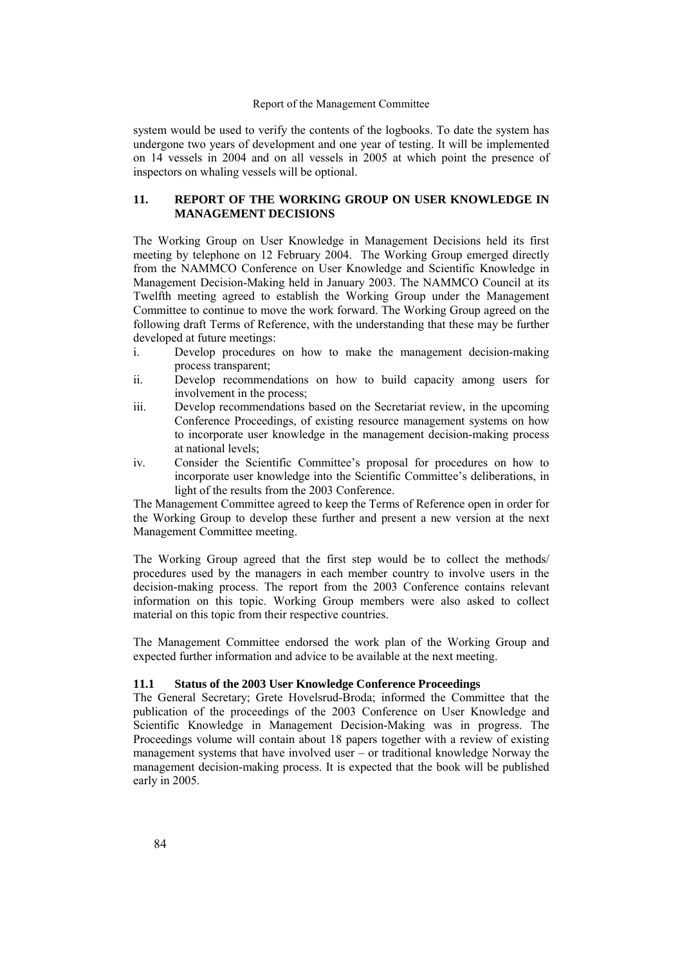system would be used to verify the contents of the logbooks. To date the system has undergone two years of development and one year of testing. It will be implemented on 14 vessels in 2004 and on all vessels in 2005 at which point the presence of inspectors on whaling vessels will be optional.

### **11. REPORT OF THE WORKING GROUP ON USER KNOWLEDGE IN MANAGEMENT DECISIONS**

The Working Group on User Knowledge in Management Decisions held its first meeting by telephone on 12 February 2004. The Working Group emerged directly from the NAMMCO Conference on User Knowledge and Scientific Knowledge in Management Decision-Making held in January 2003. The NAMMCO Council at its Twelfth meeting agreed to establish the Working Group under the Management Committee to continue to move the work forward. The Working Group agreed on the following draft Terms of Reference, with the understanding that these may be further developed at future meetings:

- i. Develop procedures on how to make the management decision-making process transparent;
- ii. Develop recommendations on how to build capacity among users for involvement in the process;
- iii. Develop recommendations based on the Secretariat review, in the upcoming Conference Proceedings, of existing resource management systems on how to incorporate user knowledge in the management decision-making process at national levels;
- iv. Consider the Scientific Committee's proposal for procedures on how to incorporate user knowledge into the Scientific Committee's deliberations, in light of the results from the 2003 Conference.

The Management Committee agreed to keep the Terms of Reference open in order for the Working Group to develop these further and present a new version at the next Management Committee meeting.

The Working Group agreed that the first step would be to collect the methods/ procedures used by the managers in each member country to involve users in the decision-making process. The report from the 2003 Conference contains relevant information on this topic. Working Group members were also asked to collect material on this topic from their respective countries.

The Management Committee endorsed the work plan of the Working Group and expected further information and advice to be available at the next meeting.

### **11.1 Status of the 2003 User Knowledge Conference Proceedings**

The General Secretary; Grete Hovelsrud-Broda; informed the Committee that the publication of the proceedings of the 2003 Conference on User Knowledge and Scientific Knowledge in Management Decision-Making was in progress. The Proceedings volume will contain about 18 papers together with a review of existing management systems that have involved user - or traditional knowledge Norway the management decision-making process. It is expected that the book will be published early in 2005.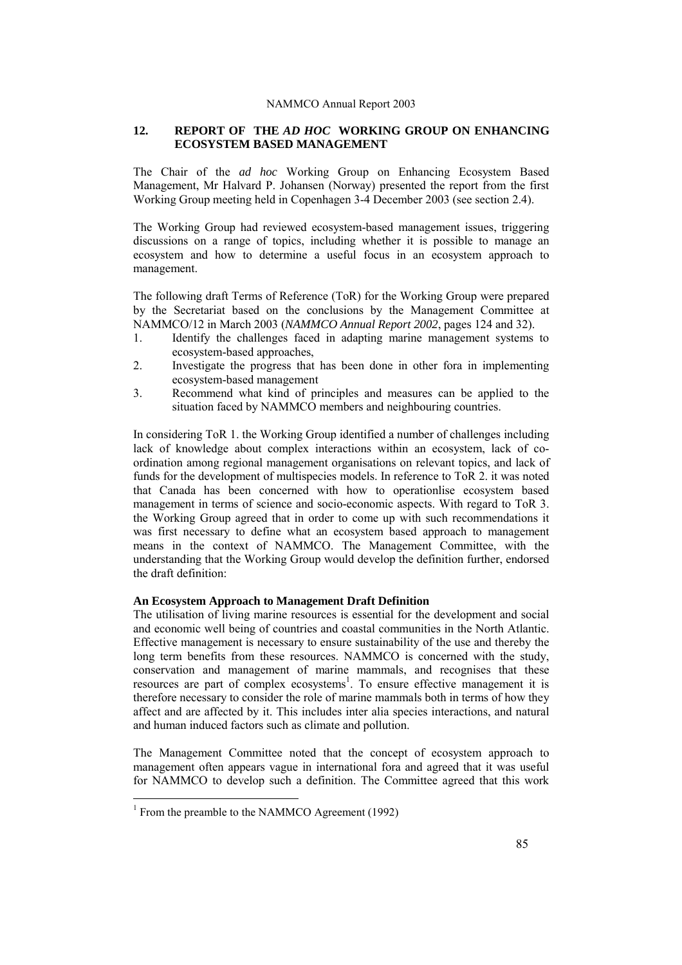### **12. REPORT OF THE** *AD HOC* **WORKING GROUP ON ENHANCING ECOSYSTEM BASED MANAGEMENT**

The Chair of the *ad hoc* Working Group on Enhancing Ecosystem Based Management, Mr Halvard P. Johansen (Norway) presented the report from the first Working Group meeting held in Copenhagen 3-4 December 2003 (see section 2.4).

The Working Group had reviewed ecosystem-based management issues, triggering discussions on a range of topics, including whether it is possible to manage an ecosystem and how to determine a useful focus in an ecosystem approach to management.

The following draft Terms of Reference (ToR) for the Working Group were prepared by the Secretariat based on the conclusions by the Management Committee at NAMMCO/12 in March 2003 (*NAMMCO Annual Report 2002*, pages 124 and 32).

- 1. Identify the challenges faced in adapting marine management systems to ecosystem-based approaches,
- 2. Investigate the progress that has been done in other fora in implementing ecosystem-based management
- 3. Recommend what kind of principles and measures can be applied to the situation faced by NAMMCO members and neighbouring countries.

In considering ToR 1. the Working Group identified a number of challenges including lack of knowledge about complex interactions within an ecosystem, lack of coordination among regional management organisations on relevant topics, and lack of funds for the development of multispecies models. In reference to ToR 2. it was noted that Canada has been concerned with how to operationlise ecosystem based management in terms of science and socio-economic aspects. With regard to ToR 3. the Working Group agreed that in order to come up with such recommendations it was first necessary to define what an ecosystem based approach to management means in the context of NAMMCO. The Management Committee, with the understanding that the Working Group would develop the definition further, endorsed the draft definition:

### **An Ecosystem Approach to Management Draft Definition**

The utilisation of living marine resources is essential for the development and social and economic well being of countries and coastal communities in the North Atlantic. Effective management is necessary to ensure sustainability of the use and thereby the long term benefits from these resources. NAMMCO is concerned with the study, conservation and management of marine mammals, and recognises that these resources are part of complex ecosystems<sup>1</sup>. To ensure effective management it is therefore necessary to consider the role of marine mammals both in terms of how they affect and are affected by it. This includes inter alia species interactions, and natural and human induced factors such as climate and pollution.

The Management Committee noted that the concept of ecosystem approach to management often appears vague in international fora and agreed that it was useful for NAMMCO to develop such a definition. The Committee agreed that this work

 $\overline{a}$ 

<sup>&</sup>lt;sup>1</sup> From the preamble to the NAMMCO Agreement (1992)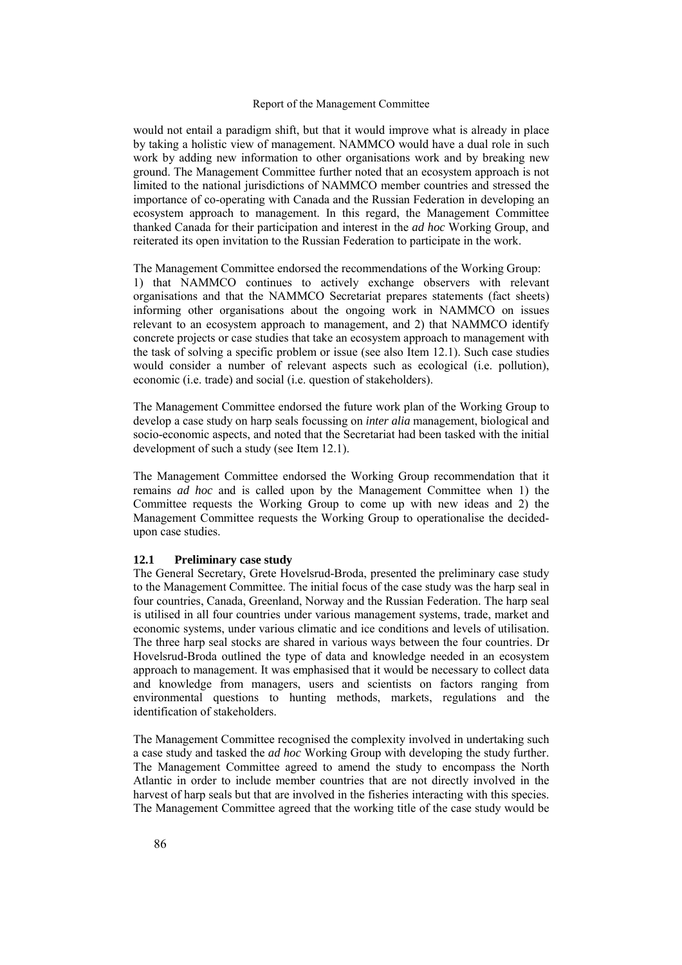would not entail a paradigm shift, but that it would improve what is already in place by taking a holistic view of management. NAMMCO would have a dual role in such work by adding new information to other organisations work and by breaking new ground. The Management Committee further noted that an ecosystem approach is not limited to the national jurisdictions of NAMMCO member countries and stressed the importance of co-operating with Canada and the Russian Federation in developing an ecosystem approach to management. In this regard, the Management Committee thanked Canada for their participation and interest in the *ad hoc* Working Group, and reiterated its open invitation to the Russian Federation to participate in the work.

The Management Committee endorsed the recommendations of the Working Group: 1) that NAMMCO continues to actively exchange observers with relevant organisations and that the NAMMCO Secretariat prepares statements (fact sheets) informing other organisations about the ongoing work in NAMMCO on issues relevant to an ecosystem approach to management, and 2) that NAMMCO identify concrete projects or case studies that take an ecosystem approach to management with the task of solving a specific problem or issue (see also Item 12.1). Such case studies would consider a number of relevant aspects such as ecological (i.e. pollution), economic (i.e. trade) and social (i.e. question of stakeholders).

The Management Committee endorsed the future work plan of the Working Group to develop a case study on harp seals focussing on *inter alia* management, biological and socio-economic aspects, and noted that the Secretariat had been tasked with the initial development of such a study (see Item 12.1).

The Management Committee endorsed the Working Group recommendation that it remains *ad hoc* and is called upon by the Management Committee when 1) the Committee requests the Working Group to come up with new ideas and 2) the Management Committee requests the Working Group to operationalise the decidedupon case studies.

### **12.1 Preliminary case study**

The General Secretary, Grete Hovelsrud-Broda, presented the preliminary case study to the Management Committee. The initial focus of the case study was the harp seal in four countries, Canada, Greenland, Norway and the Russian Federation. The harp seal is utilised in all four countries under various management systems, trade, market and economic systems, under various climatic and ice conditions and levels of utilisation. The three harp seal stocks are shared in various ways between the four countries. Dr Hovelsrud-Broda outlined the type of data and knowledge needed in an ecosystem approach to management. It was emphasised that it would be necessary to collect data and knowledge from managers, users and scientists on factors ranging from environmental questions to hunting methods, markets, regulations and the identification of stakeholders.

The Management Committee recognised the complexity involved in undertaking such a case study and tasked the *ad hoc* Working Group with developing the study further. The Management Committee agreed to amend the study to encompass the North Atlantic in order to include member countries that are not directly involved in the harvest of harp seals but that are involved in the fisheries interacting with this species. The Management Committee agreed that the working title of the case study would be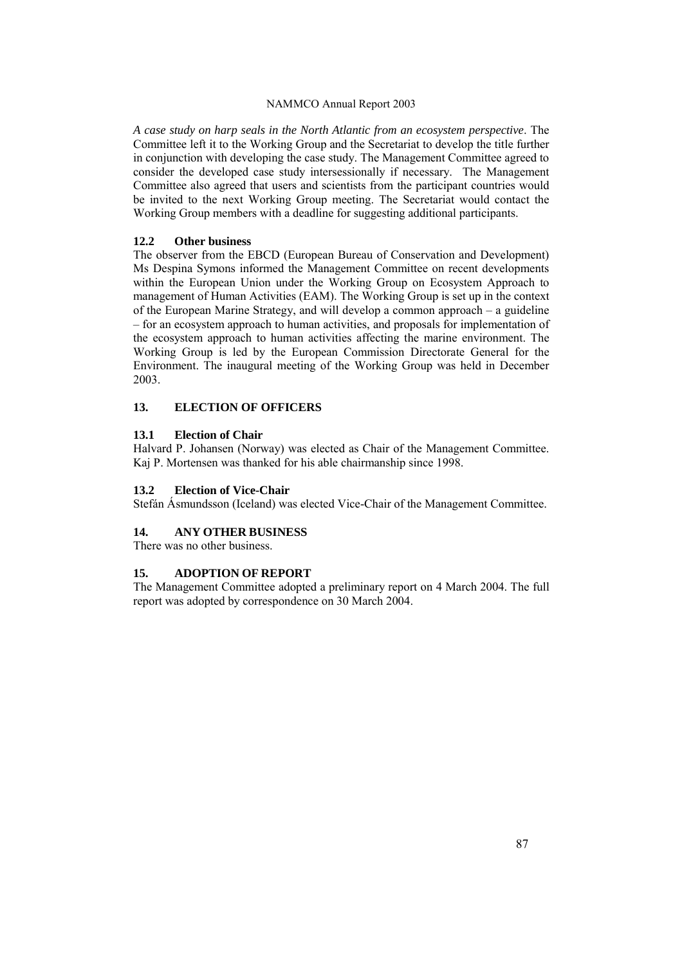*A case study on harp seals in the North Atlantic from an ecosystem perspective*. The Committee left it to the Working Group and the Secretariat to develop the title further in conjunction with developing the case study. The Management Committee agreed to consider the developed case study intersessionally if necessary. The Management Committee also agreed that users and scientists from the participant countries would be invited to the next Working Group meeting. The Secretariat would contact the Working Group members with a deadline for suggesting additional participants.

#### **12.2 Other business**

The observer from the EBCD (European Bureau of Conservation and Development) Ms Despina Symons informed the Management Committee on recent developments within the European Union under the Working Group on Ecosystem Approach to management of Human Activities (EAM). The Working Group is set up in the context of the European Marine Strategy, and will develop a common approach  $-$  a guideline – for an ecosystem approach to human activities, and proposals for implementation of the ecosystem approach to human activities affecting the marine environment. The Working Group is led by the European Commission Directorate General for the Environment. The inaugural meeting of the Working Group was held in December 2003.

### **13. ELECTION OF OFFICERS**

#### **13.1 Election of Chair**

Halvard P. Johansen (Norway) was elected as Chair of the Management Committee. Kaj P. Mortensen was thanked for his able chairmanship since 1998.

#### **13.2 Election of Vice-Chair**

Stefán Ásmundsson (Iceland) was elected Vice-Chair of the Management Committee.

### **14. ANY OTHER BUSINESS**

There was no other business.

### **15. ADOPTION OF REPORT**

The Management Committee adopted a preliminary report on 4 March 2004. The full report was adopted by correspondence on 30 March 2004.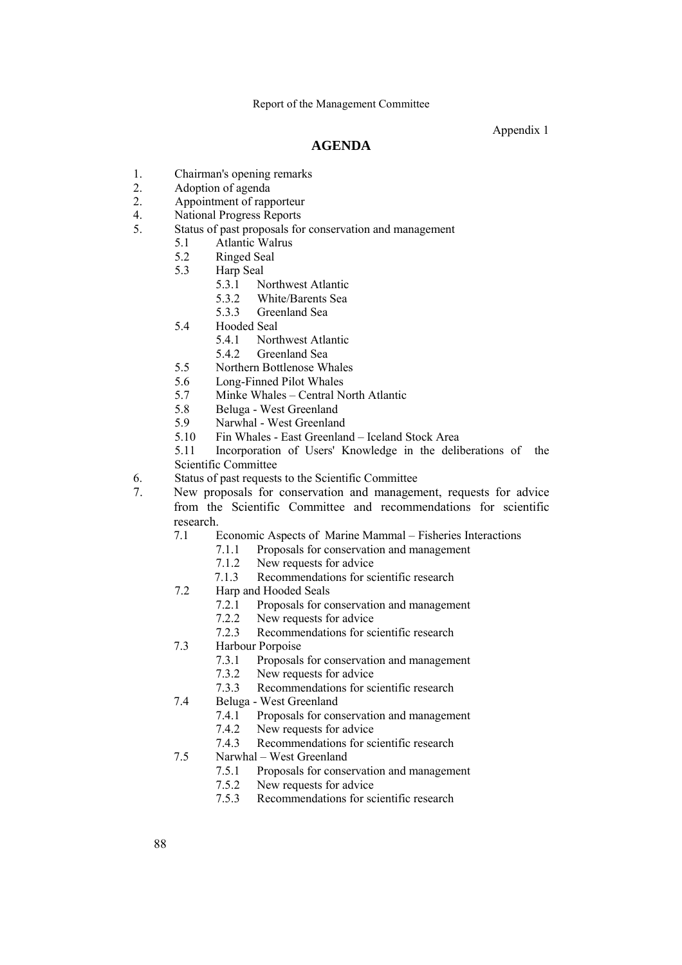Appendix 1

# **AGENDA**

- 1. Chairman's opening remarks
- 2. Adoption of agenda
- 2. Appointment of rapporteur
- 4. National Progress Reports
- 5. Status of past proposals for conservation and management
	- 5.1 Atlantic Walrus
	- 5.2 Ringed Seal
	- 5.3 Harp Seal
		- 5.3.1 Northwest Atlantic
		- 5.3.2 White/Barents Sea
		- 5.3.3 Greenland Sea
	- 5.4 Hooded Seal
		- 5.4.1 Northwest Atlantic
		- 5.4.2 Greenland Sea
	- 5.5 Northern Bottlenose Whales
	- 5.6 Long-Finned Pilot Whales
	- 5.7 Minke Whales Central North Atlantic
	- 5.8 Beluga West Greenland
	- 5.9 Narwhal West Greenland
	- 5.10 Fin Whales East Greenland Iceland Stock Area
	- 5.11 Incorporation of Users' Knowledge in the deliberations of the Scientific Committee
- 6. Status of past requests to the Scientific Committee
- 7. New proposals for conservation and management, requests for advice from the Scientific Committee and recommendations for scientific research.
	- 7.1 Economic Aspects of Marine Mammal Fisheries Interactions
		- 7.1.1 Proposals for conservation and management
		- 7.1.2 New requests for advice
		- 7.1.3 Recommendations for scientific research
	- 7.2 Harp and Hooded Seals
		- 7.2.1 Proposals for conservation and management
		- 7.2.2 New requests for advice
		- 7.2.3 Recommendations for scientific research
	- 7.3 Harbour Porpoise
		- 7.3.1 Proposals for conservation and management
		- 7.3.2 New requests for advice
		- 7.3.3 Recommendations for scientific research
	- 7.4 Beluga West Greenland
		- 7.4.1 Proposals for conservation and management
		- 7.4.2 New requests for advice
		- 7.4.3 Recommendations for scientific research
	- 7.5 Narwhal West Greenland
		- 7.5.1 Proposals for conservation and management
		- 7.5.2 New requests for advice
		- 7.5.3 Recommendations for scientific research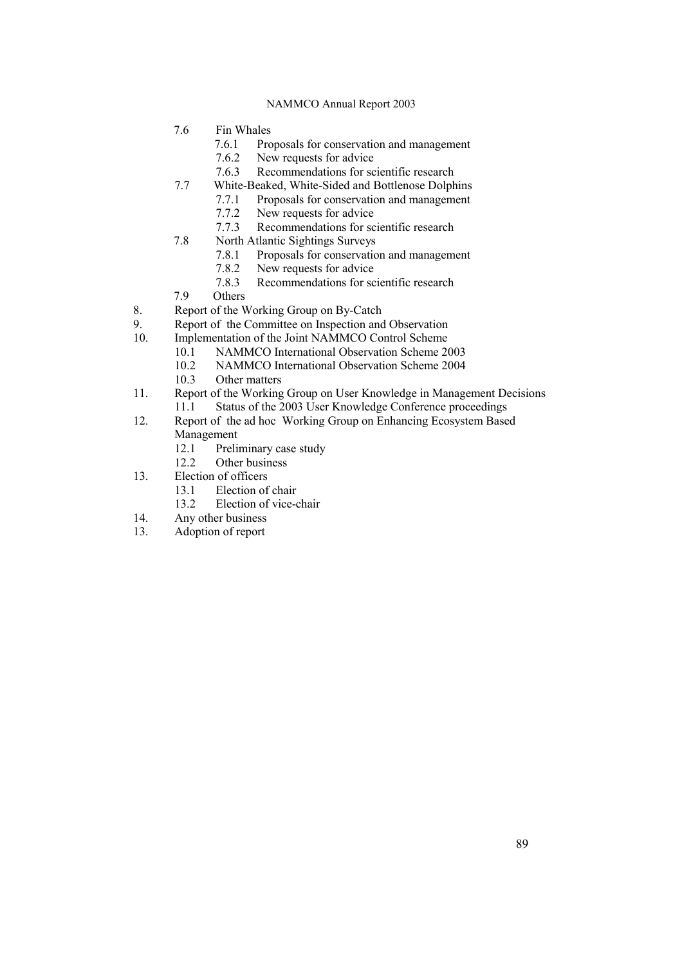- 7.6 Fin Whales
	- 7.6.1 Proposals for conservation and management
	- 7.6.2 New requests for advice
- 7.6.3 Recommendations for scientific research<br>7.7 White-Beaked, White-Sided and Bottlenose Dolph
	- White-Beaked, White-Sided and Bottlenose Dolphins
		- 7.7.1 Proposals for conservation and management
		- 7.7.2 New requests for advice
		- 7.7.3 Recommendations for scientific research
- 7.8 North Atlantic Sightings Surveys
	- 7.8.1 Proposals for conservation and management
	- 7.8.2 New requests for advice<br>7.8.3 Recommendations for sc
- 7.8.3 Recommendations for scientific research<br>7.9 Others
- Others
- 8. Report of the Working Group on By-Catch<br>9. Report of the Committee on Inspection and
- Report of the Committee on Inspection and Observation
- 10. Implementation of the Joint NAMMCO Control Scheme
	- 10.1 NAMMCO International Observation Scheme 2003
		- 10.2 NAMMCO International Observation Scheme 2004
	- 10.3 Other matters
- 11. Report of the Working Group on User Knowledge in Management Decisions<br>11.1 Status of the 2003 User Knowledge Conference proceedings Status of the 2003 User Knowledge Conference proceedings
- 12. Report of the ad hoc Working Group on Enhancing Ecosystem Based Management
	- 12.1 Preliminary case study<br>12.2 Other business
	- Other business
- 13. Election of officers
	- 13.1 Election of chair
	- 13.2 Election of vice-chair
- 14. Any other business
- 13. Adoption of report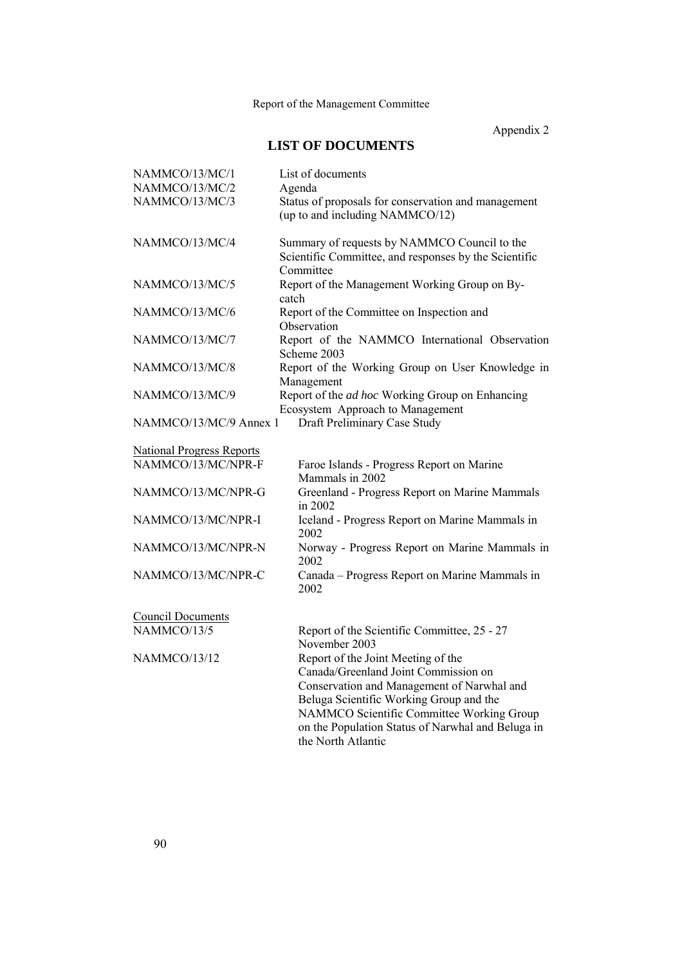Appendix 2

# **LIST OF DOCUMENTS**

| NAMMCO/13/MC/1                   | List of documents                                                                                                                                                                                                                                                                           |
|----------------------------------|---------------------------------------------------------------------------------------------------------------------------------------------------------------------------------------------------------------------------------------------------------------------------------------------|
| NAMMCO/13/MC/2                   | Agenda                                                                                                                                                                                                                                                                                      |
| NAMMCO/13/MC/3                   | Status of proposals for conservation and management<br>(up to and including NAMMCO/12)                                                                                                                                                                                                      |
| NAMMCO/13/MC/4                   | Summary of requests by NAMMCO Council to the<br>Scientific Committee, and responses by the Scientific<br>Committee                                                                                                                                                                          |
| NAMMCO/13/MC/5                   | Report of the Management Working Group on By-<br>catch                                                                                                                                                                                                                                      |
| NAMMCO/13/MC/6                   | Report of the Committee on Inspection and<br>Observation                                                                                                                                                                                                                                    |
| NAMMCO/13/MC/7                   | Report of the NAMMCO International Observation<br>Scheme 2003                                                                                                                                                                                                                               |
| NAMMCO/13/MC/8                   | Report of the Working Group on User Knowledge in<br>Management                                                                                                                                                                                                                              |
| NAMMCO/13/MC/9                   | Report of the ad hoc Working Group on Enhancing<br>Ecosystem Approach to Management                                                                                                                                                                                                         |
| NAMMCO/13/MC/9 Annex 1           | Draft Preliminary Case Study                                                                                                                                                                                                                                                                |
| <b>National Progress Reports</b> |                                                                                                                                                                                                                                                                                             |
| NAMMCO/13/MC/NPR-F               | Faroe Islands - Progress Report on Marine<br>Mammals in 2002                                                                                                                                                                                                                                |
| NAMMCO/13/MC/NPR-G               | Greenland - Progress Report on Marine Mammals<br>in 2002                                                                                                                                                                                                                                    |
| NAMMCO/13/MC/NPR-I               | Iceland - Progress Report on Marine Mammals in<br>2002                                                                                                                                                                                                                                      |
| NAMMCO/13/MC/NPR-N               | Norway - Progress Report on Marine Mammals in<br>2002                                                                                                                                                                                                                                       |
| NAMMCO/13/MC/NPR-C               | Canada - Progress Report on Marine Mammals in<br>2002                                                                                                                                                                                                                                       |
| <b>Council Documents</b>         |                                                                                                                                                                                                                                                                                             |
| NAMMCO/13/5                      | Report of the Scientific Committee, 25 - 27<br>November 2003                                                                                                                                                                                                                                |
| NAMMCO/13/12                     | Report of the Joint Meeting of the<br>Canada/Greenland Joint Commission on<br>Conservation and Management of Narwhal and<br>Beluga Scientific Working Group and the<br>NAMMCO Scientific Committee Working Group<br>on the Population Status of Narwhal and Beluga in<br>the North Atlantic |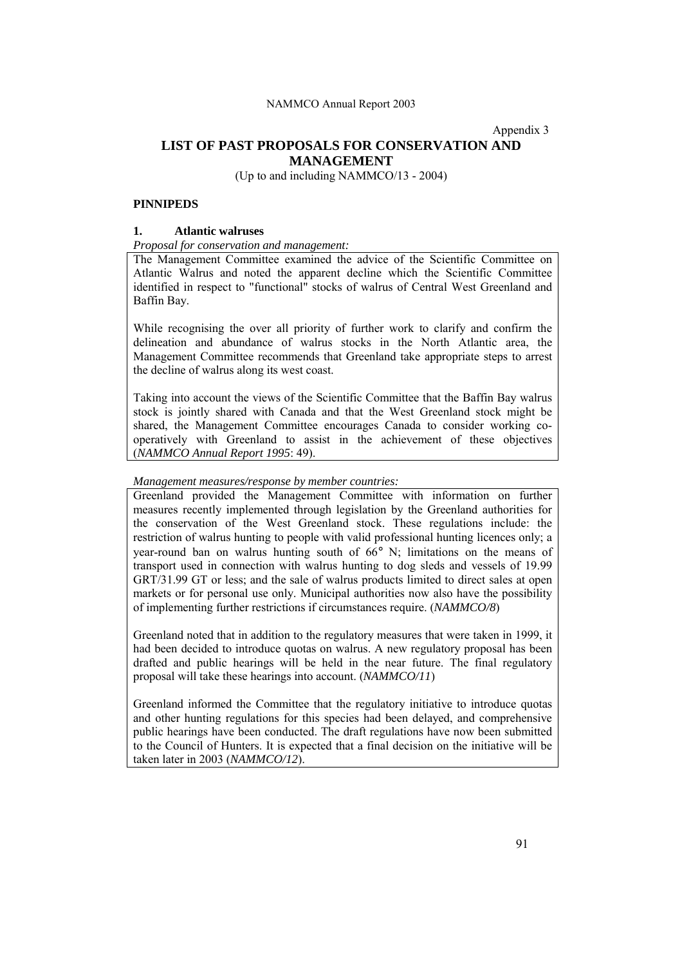Appendix 3

# **LIST OF PAST PROPOSALS FOR CONSERVATION AND MANAGEMENT**

(Up to and including NAMMCO/13 - 2004)

### **PINNIPEDS**

### **1. Atlantic walruses**

### *Proposal for conservation and management:*

The Management Committee examined the advice of the Scientific Committee on Atlantic Walrus and noted the apparent decline which the Scientific Committee identified in respect to "functional" stocks of walrus of Central West Greenland and Baffin Bay.

While recognising the over all priority of further work to clarify and confirm the delineation and abundance of walrus stocks in the North Atlantic area, the Management Committee recommends that Greenland take appropriate steps to arrest the decline of walrus along its west coast.

Taking into account the views of the Scientific Committee that the Baffin Bay walrus stock is jointly shared with Canada and that the West Greenland stock might be shared, the Management Committee encourages Canada to consider working cooperatively with Greenland to assist in the achievement of these objectives (*NAMMCO Annual Report 1995*: 49).

### *Management measures/response by member countries:*

Greenland provided the Management Committee with information on further measures recently implemented through legislation by the Greenland authorities for the conservation of the West Greenland stock. These regulations include: the restriction of walrus hunting to people with valid professional hunting licences only; a year-round ban on walrus hunting south of 66° N; limitations on the means of transport used in connection with walrus hunting to dog sleds and vessels of 19.99 GRT/31.99 GT or less; and the sale of walrus products limited to direct sales at open markets or for personal use only. Municipal authorities now also have the possibility of implementing further restrictions if circumstances require. (*NAMMCO/8*)

Greenland noted that in addition to the regulatory measures that were taken in 1999, it had been decided to introduce quotas on walrus. A new regulatory proposal has been drafted and public hearings will be held in the near future. The final regulatory proposal will take these hearings into account. (*NAMMCO/11*)

Greenland informed the Committee that the regulatory initiative to introduce quotas and other hunting regulations for this species had been delayed, and comprehensive public hearings have been conducted. The draft regulations have now been submitted to the Council of Hunters. It is expected that a final decision on the initiative will be taken later in 2003 (*NAMMCO/12*).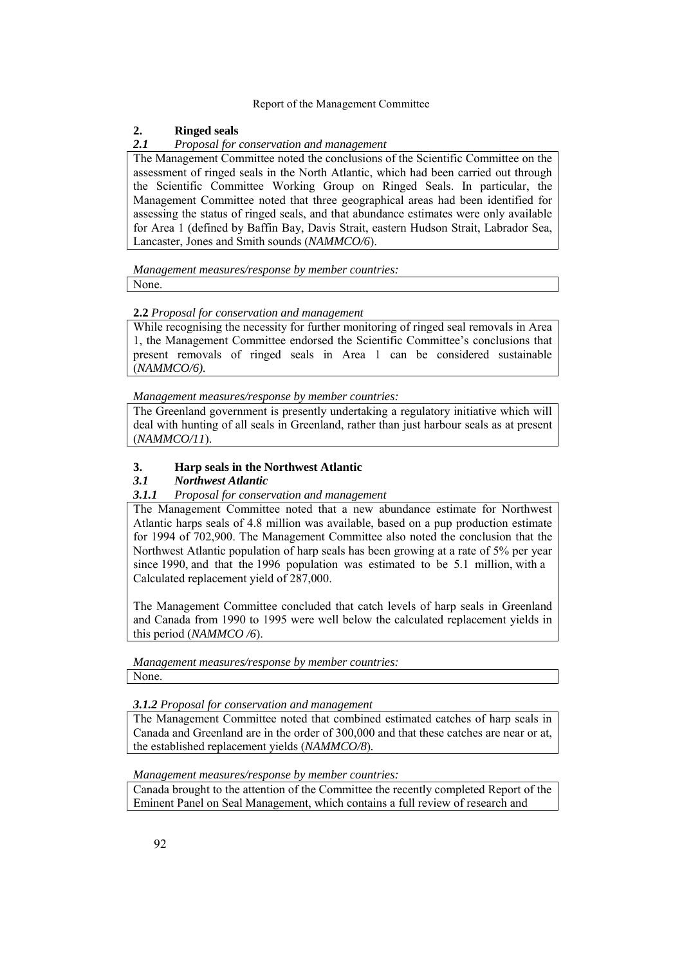# **2. Ringed seals**

### *2.1 Proposal for conservation and management*

The Management Committee noted the conclusions of the Scientific Committee on the assessment of ringed seals in the North Atlantic, which had been carried out through the Scientific Committee Working Group on Ringed Seals. In particular, the Management Committee noted that three geographical areas had been identified for assessing the status of ringed seals, and that abundance estimates were only available for Area 1 (defined by Baffin Bay, Davis Strait, eastern Hudson Strait, Labrador Sea, Lancaster, Jones and Smith sounds (*NAMMCO/6*).

*Management measures/response by member countries:*

None.

# **2.2** *Proposal for conservation and management*

While recognising the necessity for further monitoring of ringed seal removals in Area 1, the Management Committee endorsed the Scientific Committeeís conclusions that present removals of ringed seals in Area 1 can be considered sustainable (*NAMMCO/6).*

*Management measures/response by member countries:*

The Greenland government is presently undertaking a regulatory initiative which will deal with hunting of all seals in Greenland, rather than just harbour seals as at present (*NAMMCO/11*).

# **3. Harp seals in the Northwest Atlantic**

# *3.1 Northwest Atlantic*

# *3.1.1 Proposal for conservation and management*

The Management Committee noted that a new abundance estimate for Northwest Atlantic harps seals of 4.8 million was available, based on a pup production estimate for 1994 of 702,900. The Management Committee also noted the conclusion that the Northwest Atlantic population of harp seals has been growing at a rate of 5% per year since 1990, and that the 1996 population was estimated to be 5.1 million, with a Calculated replacement yield of 287,000.

The Management Committee concluded that catch levels of harp seals in Greenland and Canada from 1990 to 1995 were well below the calculated replacement yields in this period (*NAMMCO /6*).

*Management measures/response by member countries:* None.

*3.1.2 Proposal for conservation and management*

The Management Committee noted that combined estimated catches of harp seals in Canada and Greenland are in the order of 300,000 and that these catches are near or at, the established replacement yields (*NAMMCO/8*)*.*

*Management measures/response by member countries:*

Canada brought to the attention of the Committee the recently completed Report of the Eminent Panel on Seal Management, which contains a full review of research and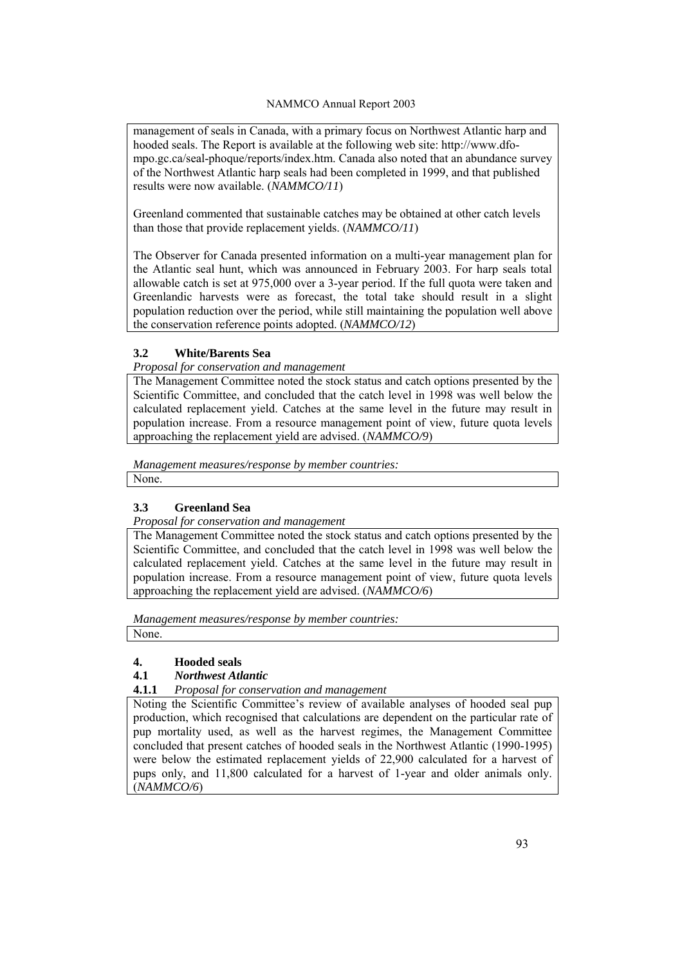management of seals in Canada, with a primary focus on Northwest Atlantic harp and hooded seals. The Report is available at the following web site: http://www.dfompo.gc.ca/seal-phoque/reports/index.htm. Canada also noted that an abundance survey of the Northwest Atlantic harp seals had been completed in 1999, and that published results were now available. (*NAMMCO/11*)

Greenland commented that sustainable catches may be obtained at other catch levels than those that provide replacement yields. (*NAMMCO/11*)

The Observer for Canada presented information on a multi-year management plan for the Atlantic seal hunt, which was announced in February 2003. For harp seals total allowable catch is set at 975,000 over a 3-year period. If the full quota were taken and Greenlandic harvests were as forecast, the total take should result in a slight population reduction over the period, while still maintaining the population well above the conservation reference points adopted. (*NAMMCO/12*)

# **3.2 White/Barents Sea**

# *Proposal for conservation and management*

The Management Committee noted the stock status and catch options presented by the Scientific Committee, and concluded that the catch level in 1998 was well below the calculated replacement yield. Catches at the same level in the future may result in population increase. From a resource management point of view, future quota levels approaching the replacement yield are advised. (*NAMMCO/9*)

*Management measures/response by member countries:* None.

# **3.3 Greenland Sea**

*Proposal for conservation and management*

The Management Committee noted the stock status and catch options presented by the Scientific Committee, and concluded that the catch level in 1998 was well below the calculated replacement yield. Catches at the same level in the future may result in population increase. From a resource management point of view, future quota levels approaching the replacement yield are advised. (*NAMMCO/6*)

*Management measures/response by member countries:*

None.

# **4. Hooded seals**

# **4.1** *Northwest Atlantic*

**4.1.1** *Proposal for conservation and management*

Noting the Scientific Committee's review of available analyses of hooded seal pup production, which recognised that calculations are dependent on the particular rate of pup mortality used, as well as the harvest regimes, the Management Committee concluded that present catches of hooded seals in the Northwest Atlantic (1990-1995) were below the estimated replacement yields of 22,900 calculated for a harvest of pups only, and 11,800 calculated for a harvest of 1-year and older animals only. (*NAMMCO/6*)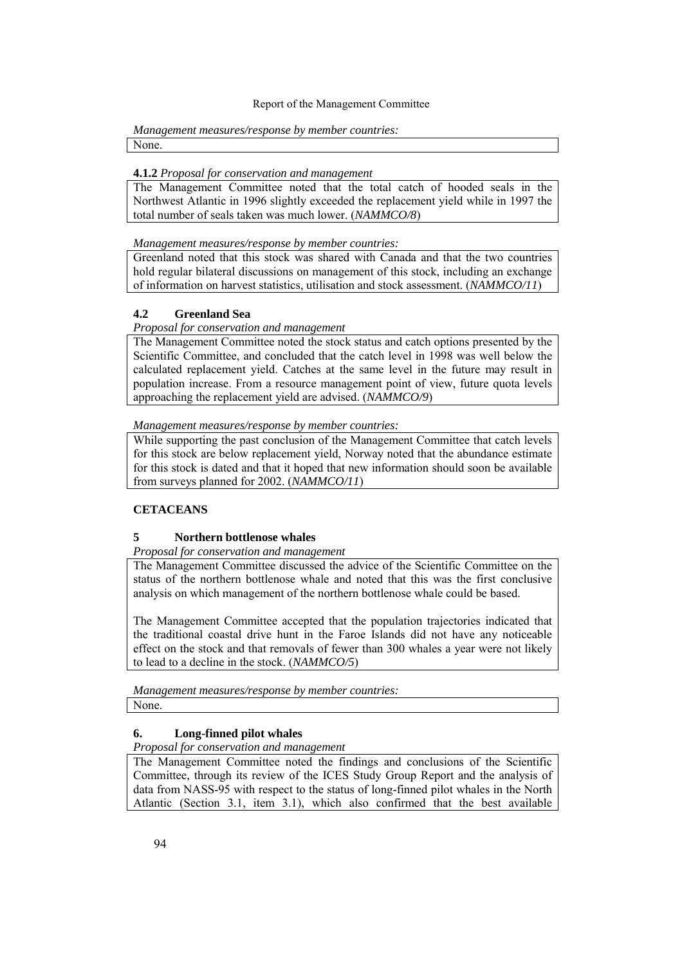#### *Management measures/response by member countries:* None.

#### **4.1.2** *Proposal for conservation and management*

The Management Committee noted that the total catch of hooded seals in the Northwest Atlantic in 1996 slightly exceeded the replacement yield while in 1997 the total number of seals taken was much lower. (*NAMMCO/8*)

*Management measures/response by member countries:*

Greenland noted that this stock was shared with Canada and that the two countries hold regular bilateral discussions on management of this stock, including an exchange of information on harvest statistics, utilisation and stock assessment. (*NAMMCO/11*)

### **4.2 Greenland Sea**

#### *Proposal for conservation and management*

The Management Committee noted the stock status and catch options presented by the Scientific Committee, and concluded that the catch level in 1998 was well below the calculated replacement yield. Catches at the same level in the future may result in population increase. From a resource management point of view, future quota levels approaching the replacement yield are advised. (*NAMMCO/9*)

*Management measures/response by member countries:*

While supporting the past conclusion of the Management Committee that catch levels for this stock are below replacement yield, Norway noted that the abundance estimate for this stock is dated and that it hoped that new information should soon be available from surveys planned for 2002. (*NAMMCO/11*)

# **CETACEANS**

### **5 Northern bottlenose whales**

*Proposal for conservation and management*

The Management Committee discussed the advice of the Scientific Committee on the status of the northern bottlenose whale and noted that this was the first conclusive analysis on which management of the northern bottlenose whale could be based.

The Management Committee accepted that the population trajectories indicated that the traditional coastal drive hunt in the Faroe Islands did not have any noticeable effect on the stock and that removals of fewer than 300 whales a year were not likely to lead to a decline in the stock. (*NAMMCO/5*)

*Management measures/response by member countries:* None.

### **6. Long-finned pilot whales**

*Proposal for conservation and management*

The Management Committee noted the findings and conclusions of the Scientific Committee, through its review of the ICES Study Group Report and the analysis of data from NASS-95 with respect to the status of long-finned pilot whales in the North Atlantic (Section 3.1, item 3.1), which also confirmed that the best available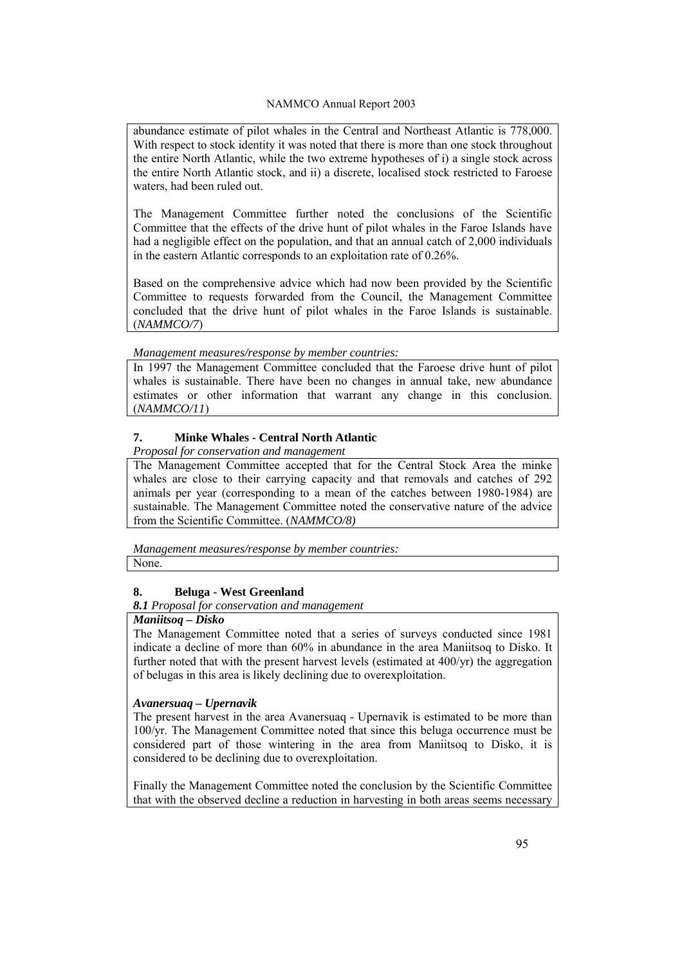abundance estimate of pilot whales in the Central and Northeast Atlantic is 778,000. With respect to stock identity it was noted that there is more than one stock throughout the entire North Atlantic, while the two extreme hypotheses of i) a single stock across the entire North Atlantic stock, and ii) a discrete, localised stock restricted to Faroese waters, had been ruled out.

The Management Committee further noted the conclusions of the Scientific Committee that the effects of the drive hunt of pilot whales in the Faroe Islands have had a negligible effect on the population, and that an annual catch of 2,000 individuals in the eastern Atlantic corresponds to an exploitation rate of 0.26%.

Based on the comprehensive advice which had now been provided by the Scientific Committee to requests forwarded from the Council, the Management Committee concluded that the drive hunt of pilot whales in the Faroe Islands is sustainable. (*NAMMCO/7*)

*Management measures/response by member countries:*

In 1997 the Management Committee concluded that the Faroese drive hunt of pilot whales is sustainable. There have been no changes in annual take, new abundance estimates or other information that warrant any change in this conclusion. (*NAMMCO/11*)

# **7. Minke Whales - Central North Atlantic**

*Proposal for conservation and management*

The Management Committee accepted that for the Central Stock Area the minke whales are close to their carrying capacity and that removals and catches of 292 animals per year (corresponding to a mean of the catches between 1980-1984) are sustainable. The Management Committee noted the conservative nature of the advice from the Scientific Committee. (*NAMMCO/8)*

*Management measures/response by member countries:* None.

# **8. Beluga - West Greenland**

*8.1 Proposal for conservation and management*

# *Maniitsoq – Disko*

The Management Committee noted that a series of surveys conducted since 1981 indicate a decline of more than 60% in abundance in the area Maniitsoq to Disko. It further noted that with the present harvest levels (estimated at 400/yr) the aggregation of belugas in this area is likely declining due to overexploitation.

# *Avanersuaq – Upernavik*

The present harvest in the area Avanersuaq - Upernavik is estimated to be more than 100/yr. The Management Committee noted that since this beluga occurrence must be considered part of those wintering in the area from Maniitsoq to Disko, it is considered to be declining due to overexploitation.

Finally the Management Committee noted the conclusion by the Scientific Committee that with the observed decline a reduction in harvesting in both areas seems necessary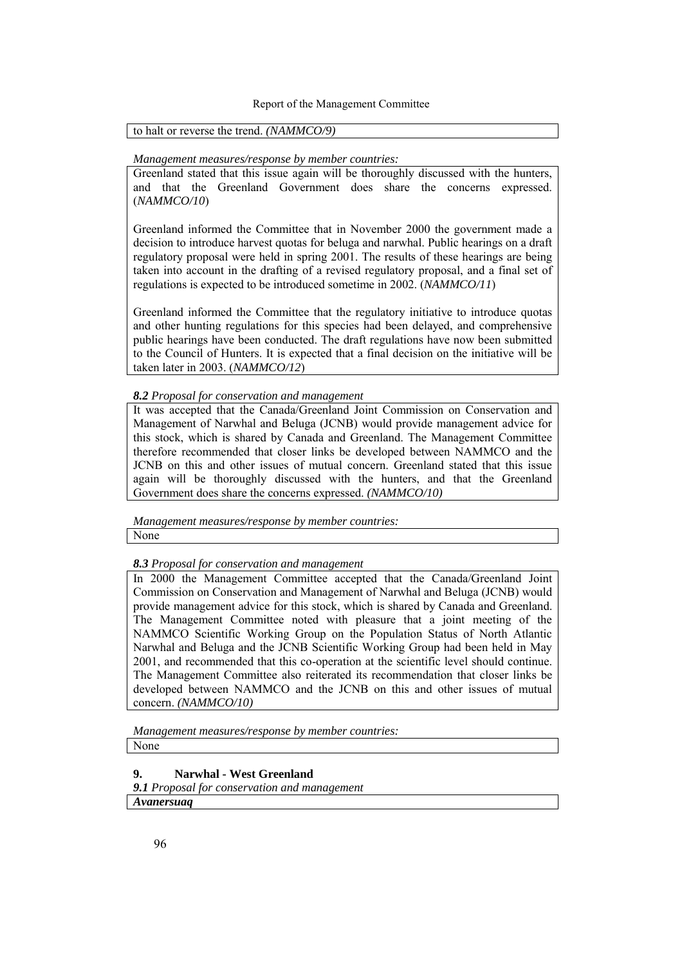### to halt or reverse the trend. *(NAMMCO/9)*

#### *Management measures/response by member countries:*

Greenland stated that this issue again will be thoroughly discussed with the hunters, and that the Greenland Government does share the concerns expressed. (*NAMMCO/10*)

Greenland informed the Committee that in November 2000 the government made a decision to introduce harvest quotas for beluga and narwhal. Public hearings on a draft regulatory proposal were held in spring 2001. The results of these hearings are being taken into account in the drafting of a revised regulatory proposal, and a final set of regulations is expected to be introduced sometime in 2002. (*NAMMCO/11*)

Greenland informed the Committee that the regulatory initiative to introduce quotas and other hunting regulations for this species had been delayed, and comprehensive public hearings have been conducted. The draft regulations have now been submitted to the Council of Hunters. It is expected that a final decision on the initiative will be taken later in 2003. (*NAMMCO/12*)

#### *8.2 Proposal for conservation and management*

It was accepted that the Canada/Greenland Joint Commission on Conservation and Management of Narwhal and Beluga (JCNB) would provide management advice for this stock, which is shared by Canada and Greenland. The Management Committee therefore recommended that closer links be developed between NAMMCO and the JCNB on this and other issues of mutual concern. Greenland stated that this issue again will be thoroughly discussed with the hunters, and that the Greenland Government does share the concerns expressed. *(NAMMCO/10)*

*Management measures/response by member countries:* None

### *8.3 Proposal for conservation and management*

In 2000 the Management Committee accepted that the Canada/Greenland Joint Commission on Conservation and Management of Narwhal and Beluga (JCNB) would provide management advice for this stock, which is shared by Canada and Greenland. The Management Committee noted with pleasure that a joint meeting of the NAMMCO Scientific Working Group on the Population Status of North Atlantic Narwhal and Beluga and the JCNB Scientific Working Group had been held in May 2001, and recommended that this co-operation at the scientific level should continue. The Management Committee also reiterated its recommendation that closer links be developed between NAMMCO and the JCNB on this and other issues of mutual concern. *(NAMMCO/10)*

*Management measures/response by member countries:* None

# **9. Narwhal - West Greenland**

*9.1 Proposal for conservation and management Avanersuaq*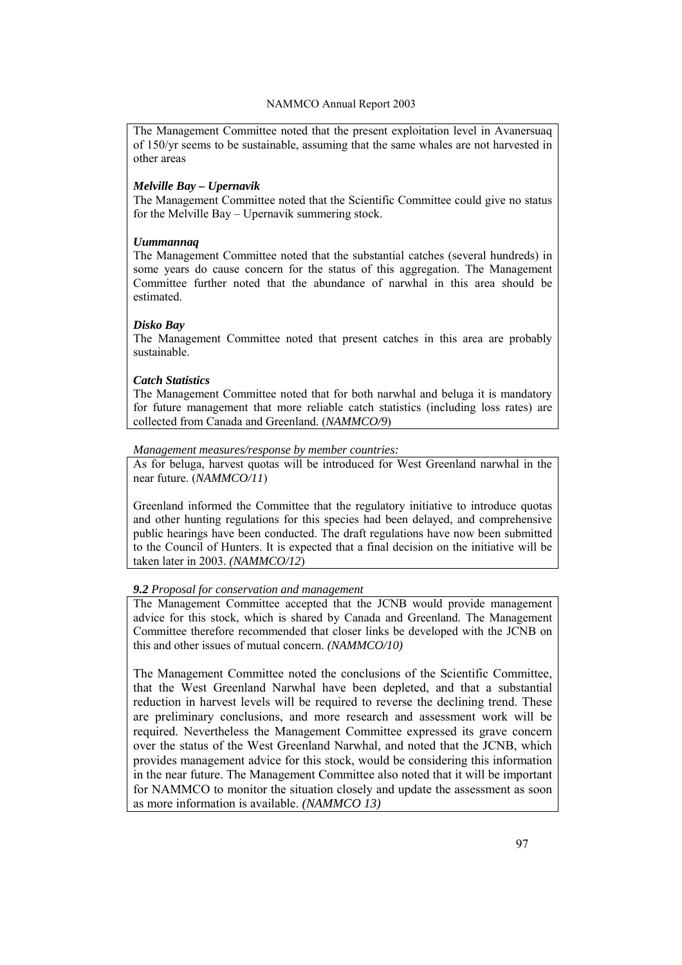The Management Committee noted that the present exploitation level in Avanersuaq of 150/yr seems to be sustainable, assuming that the same whales are not harvested in other areas

# *Melville Bay – Upernavik*

The Management Committee noted that the Scientific Committee could give no status for the Melville Bay  $-$  Upernavik summering stock.

# *Uummannaq*

The Management Committee noted that the substantial catches (several hundreds) in some years do cause concern for the status of this aggregation. The Management Committee further noted that the abundance of narwhal in this area should be estimated.

# *Disko Bay*

The Management Committee noted that present catches in this area are probably sustainable.

### *Catch Statistics*

The Management Committee noted that for both narwhal and beluga it is mandatory for future management that more reliable catch statistics (including loss rates) are collected from Canada and Greenland. (*NAMMCO/9*)

### *Management measures/response by member countries:*

As for beluga, harvest quotas will be introduced for West Greenland narwhal in the near future. (*NAMMCO/11*)

Greenland informed the Committee that the regulatory initiative to introduce quotas and other hunting regulations for this species had been delayed, and comprehensive public hearings have been conducted. The draft regulations have now been submitted to the Council of Hunters. It is expected that a final decision on the initiative will be taken later in 2003. *(NAMMCO/12*)

# *9.2 Proposal for conservation and management*

The Management Committee accepted that the JCNB would provide management advice for this stock, which is shared by Canada and Greenland. The Management Committee therefore recommended that closer links be developed with the JCNB on this and other issues of mutual concern. *(NAMMCO/10)* 

The Management Committee noted the conclusions of the Scientific Committee, that the West Greenland Narwhal have been depleted, and that a substantial reduction in harvest levels will be required to reverse the declining trend. These are preliminary conclusions, and more research and assessment work will be required. Nevertheless the Management Committee expressed its grave concern over the status of the West Greenland Narwhal, and noted that the JCNB, which provides management advice for this stock, would be considering this information in the near future. The Management Committee also noted that it will be important for NAMMCO to monitor the situation closely and update the assessment as soon as more information is available. *(NAMMCO 13)*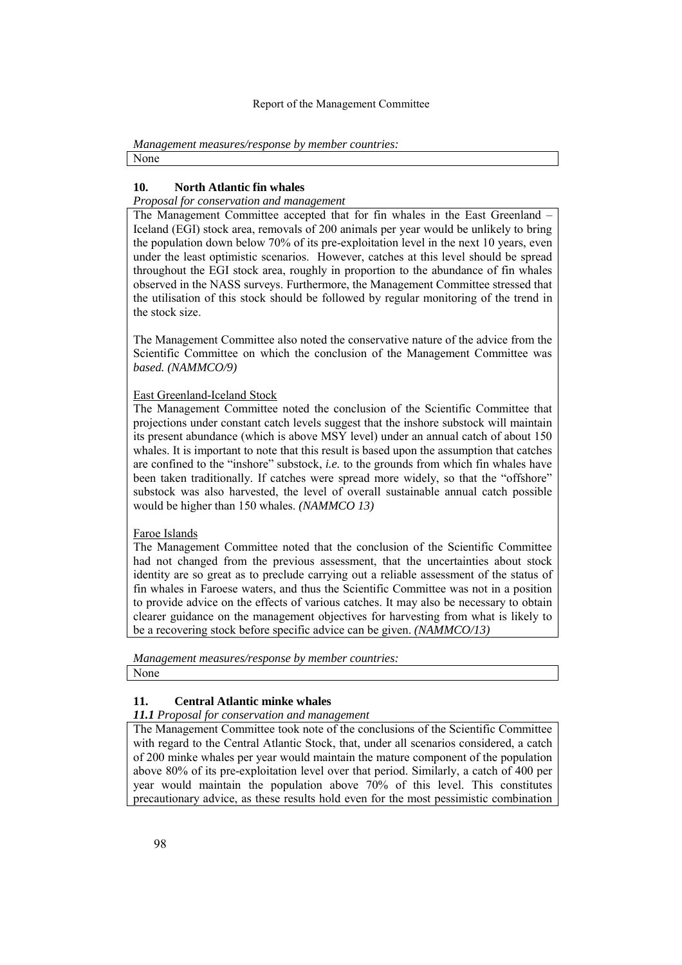*Management measures/response by member countries:* None

### **10. North Atlantic fin whales**

*Proposal for conservation and management*

The Management Committee accepted that for fin whales in the East Greenland – Iceland (EGI) stock area, removals of 200 animals per year would be unlikely to bring the population down below 70% of its pre-exploitation level in the next 10 years, even under the least optimistic scenarios. However, catches at this level should be spread throughout the EGI stock area, roughly in proportion to the abundance of fin whales observed in the NASS surveys. Furthermore, the Management Committee stressed that the utilisation of this stock should be followed by regular monitoring of the trend in the stock size.

The Management Committee also noted the conservative nature of the advice from the Scientific Committee on which the conclusion of the Management Committee was *based. (NAMMCO/9)* 

### East Greenland-Iceland Stock

The Management Committee noted the conclusion of the Scientific Committee that projections under constant catch levels suggest that the inshore substock will maintain its present abundance (which is above MSY level) under an annual catch of about 150 whales. It is important to note that this result is based upon the assumption that catches are confined to the "inshore" substock, *i.e.* to the grounds from which fin whales have been taken traditionally. If catches were spread more widely, so that the "offshore" substock was also harvested, the level of overall sustainable annual catch possible would be higher than 150 whales. *(NAMMCO 13)* 

### Faroe Islands

The Management Committee noted that the conclusion of the Scientific Committee had not changed from the previous assessment, that the uncertainties about stock identity are so great as to preclude carrying out a reliable assessment of the status of fin whales in Faroese waters, and thus the Scientific Committee was not in a position to provide advice on the effects of various catches. It may also be necessary to obtain clearer guidance on the management objectives for harvesting from what is likely to be a recovering stock before specific advice can be given. *(NAMMCO/13)*

*Management measures/response by member countries:* None

# **11. Central Atlantic minke whales**

# *11.1 Proposal for conservation and management*

The Management Committee took note of the conclusions of the Scientific Committee with regard to the Central Atlantic Stock, that, under all scenarios considered, a catch of 200 minke whales per year would maintain the mature component of the population above 80% of its pre-exploitation level over that period. Similarly, a catch of 400 per year would maintain the population above 70% of this level. This constitutes precautionary advice, as these results hold even for the most pessimistic combination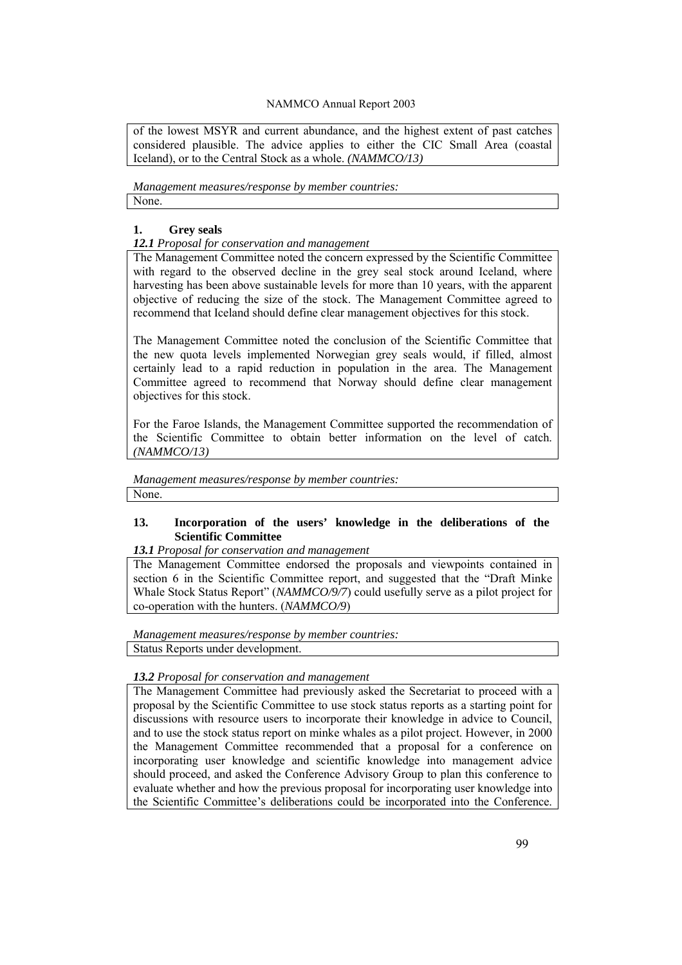of the lowest MSYR and current abundance, and the highest extent of past catches considered plausible. The advice applies to either the CIC Small Area (coastal Iceland), or to the Central Stock as a whole. *(NAMMCO/13)* 

*Management measures/response by member countries:* None.

### **1. Grey seals**

### *12.1 Proposal for conservation and management*

The Management Committee noted the concern expressed by the Scientific Committee with regard to the observed decline in the grey seal stock around Iceland, where harvesting has been above sustainable levels for more than 10 years, with the apparent objective of reducing the size of the stock. The Management Committee agreed to recommend that Iceland should define clear management objectives for this stock.

The Management Committee noted the conclusion of the Scientific Committee that the new quota levels implemented Norwegian grey seals would, if filled, almost certainly lead to a rapid reduction in population in the area. The Management Committee agreed to recommend that Norway should define clear management objectives for this stock.

For the Faroe Islands, the Management Committee supported the recommendation of the Scientific Committee to obtain better information on the level of catch. *(NAMMCO/13)*

*Management measures/response by member countries:*

None.

# **13. Incorporation of the users' knowledge in the deliberations of the Scientific Committee**

*13.1 Proposal for conservation and management*

The Management Committee endorsed the proposals and viewpoints contained in section 6 in the Scientific Committee report, and suggested that the "Draft Minke" Whale Stock Status Report" (*NAMMCO/9/7*) could usefully serve as a pilot project for co-operation with the hunters. (*NAMMCO/9*)

*Management measures/response by member countries:* Status Reports under development.

# *13.2 Proposal for conservation and management*

The Management Committee had previously asked the Secretariat to proceed with a proposal by the Scientific Committee to use stock status reports as a starting point for discussions with resource users to incorporate their knowledge in advice to Council, and to use the stock status report on minke whales as a pilot project. However, in 2000 the Management Committee recommended that a proposal for a conference on incorporating user knowledge and scientific knowledge into management advice should proceed, and asked the Conference Advisory Group to plan this conference to evaluate whether and how the previous proposal for incorporating user knowledge into the Scientific Committee's deliberations could be incorporated into the Conference.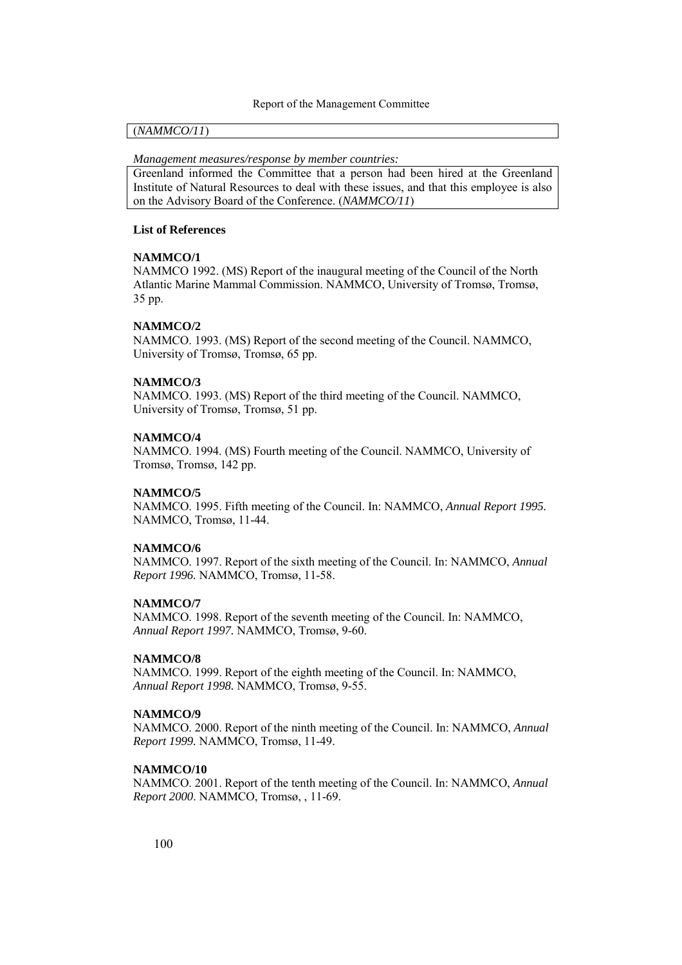#### (*NAMMCO/11*)

*Management measures/response by member countries:*

Greenland informed the Committee that a person had been hired at the Greenland Institute of Natural Resources to deal with these issues, and that this employee is also on the Advisory Board of the Conference. (*NAMMCO/11*)

#### **List of References**

#### **NAMMCO/1**

NAMMCO 1992. (MS) Report of the inaugural meeting of the Council of the North Atlantic Marine Mammal Commission. NAMMCO, University of Tromsø, Tromsø, 35 pp.

#### **NAMMCO/2**

NAMMCO. 1993. (MS) Report of the second meeting of the Council. NAMMCO, University of Tromsø, Tromsø, 65 pp.

#### **NAMMCO/3**

NAMMCO. 1993. (MS) Report of the third meeting of the Council. NAMMCO, University of Tromsø, Tromsø, 51 pp.

#### **NAMMCO/4**

NAMMCO. 1994. (MS) Fourth meeting of the Council. NAMMCO, University of Tromsø, Tromsø, 142 pp.

#### **NAMMCO/5**

NAMMCO. 1995. Fifth meeting of the Council. In: NAMMCO, *Annual Report 1995.* NAMMCO, Tromsø, 11-44.

### **NAMMCO/6**

NAMMCO. 1997. Report of the sixth meeting of the Council. In: NAMMCO, *Annual Report 1996.* NAMMCO, Tromsø, 11-58.

#### **NAMMCO/7**

NAMMCO. 1998. Report of the seventh meeting of the Council. In: NAMMCO, *Annual Report 1997.* NAMMCO, Tromsø, 9-60.

#### **NAMMCO/8**

NAMMCO. 1999. Report of the eighth meeting of the Council. In: NAMMCO, Annual Report 1998. NAMMCO, Tromsø, 9-55.

#### **NAMMCO/9**

NAMMCO. 2000. Report of the ninth meeting of the Council. In: NAMMCO, *Annual Report 1999.* NAMMCO, Tromsø, 11-49.

#### **NAMMCO/10**

NAMMCO. 2001. Report of the tenth meeting of the Council. In: NAMMCO, *Annual Report 2000*. NAMMCO, Tromsø, , 11-69.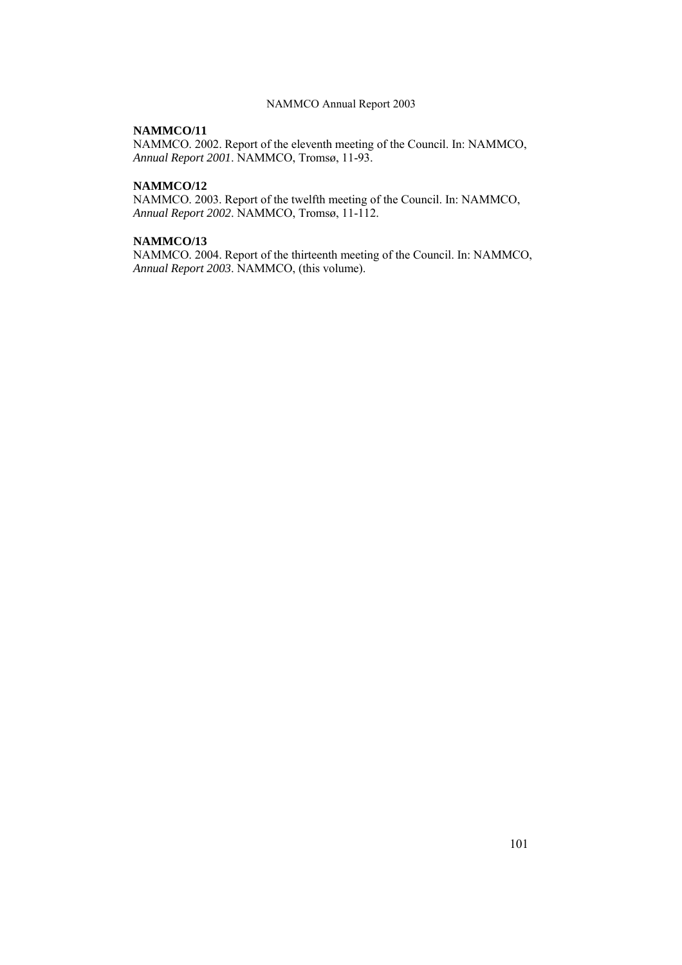### **NAMMCO/11**

NAMMCO. 2002. Report of the eleventh meeting of the Council. In: NAMMCO, *Annual Report 2001*. NAMMCO, Tromsø, 11-93.

### **NAMMCO/12**

NAMMCO. 2003. Report of the twelfth meeting of the Council. In: NAMMCO, *Annual Report 2002.* NAMMCO, Tromsø, 11-112.

### **NAMMCO/13**

NAMMCO. 2004. Report of the thirteenth meeting of the Council. In: NAMMCO, *Annual Report 2003*. NAMMCO, (this volume).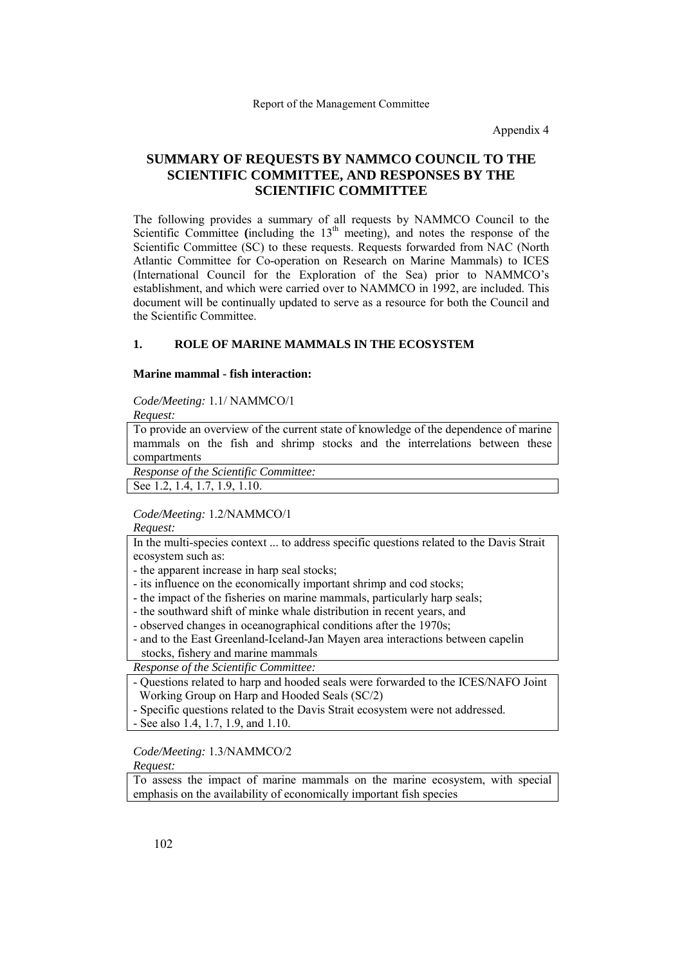Appendix 4

# **SUMMARY OF REQUESTS BY NAMMCO COUNCIL TO THE SCIENTIFIC COMMITTEE, AND RESPONSES BY THE SCIENTIFIC COMMITTEE**

The following provides a summary of all requests by NAMMCO Council to the Scientific Committee (including the  $13<sup>th</sup>$  meeting), and notes the response of the Scientific Committee (SC) to these requests. Requests forwarded from NAC (North Atlantic Committee for Co-operation on Research on Marine Mammals) to ICES (International Council for the Exploration of the Sea) prior to NAMMCO's establishment, and which were carried over to NAMMCO in 1992, are included. This document will be continually updated to serve as a resource for both the Council and the Scientific Committee.

### **1. ROLE OF MARINE MAMMALS IN THE ECOSYSTEM**

# **Marine mammal - fish interaction:**

#### *Code/Meeting:* 1.1/ NAMMCO/1

*Request:* 

To provide an overview of the current state of knowledge of the dependence of marine mammals on the fish and shrimp stocks and the interrelations between these compartments

*Response of the Scientific Committee:* 

See 1.2, 1.4, 1.7, 1.9, 1.10.

### *Code/Meeting:* 1.2/NAMMCO/1

*Request:* 

In the multi-species context ... to address specific questions related to the Davis Strait ecosystem such as:

- the apparent increase in harp seal stocks;

- its influence on the economically important shrimp and cod stocks;

- the impact of the fisheries on marine mammals, particularly harp seals;

- the southward shift of minke whale distribution in recent years, and

- observed changes in oceanographical conditions after the 1970s;

- and to the East Greenland-Iceland-Jan Mayen area interactions between capelin stocks, fishery and marine mammals

*Response of the Scientific Committee:* 

- Questions related to harp and hooded seals were forwarded to the ICES/NAFO Joint Working Group on Harp and Hooded Seals (SC/2)

- Specific questions related to the Davis Strait ecosystem were not addressed.

- See also 1.4, 1.7, 1.9, and 1.10.

*Code/Meeting:* 1.3/NAMMCO/2

*Request:* 

To assess the impact of marine mammals on the marine ecosystem, with special emphasis on the availability of economically important fish species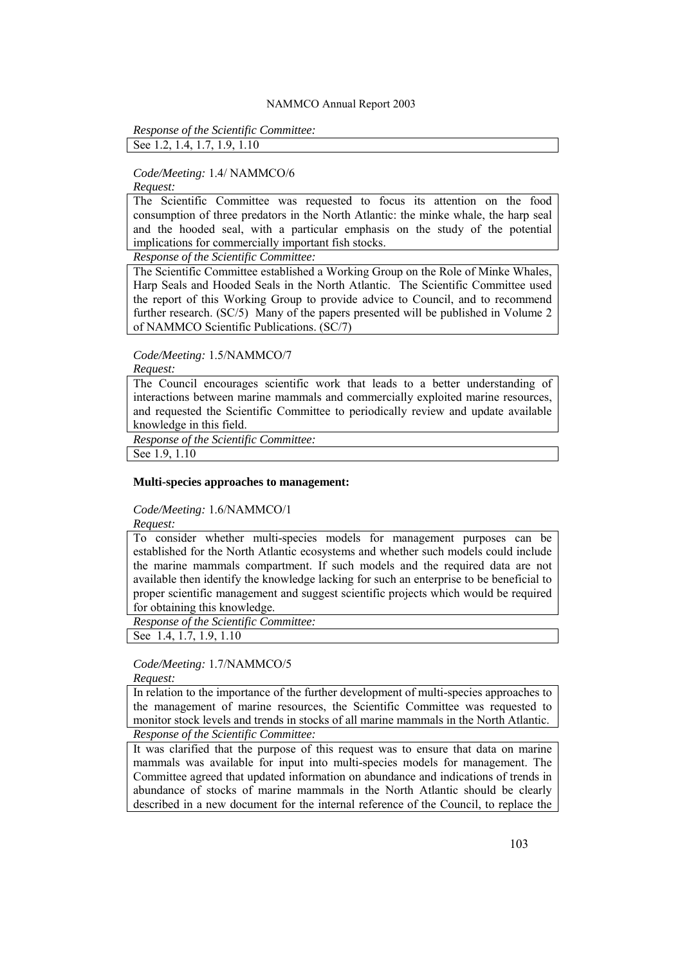*Response of the Scientific Committee:* 

See 1.2, 1.4, 1.7, 1.9, 1.10

### *Code/Meeting:* 1.4/ NAMMCO/6

*Request:* 

The Scientific Committee was requested to focus its attention on the food consumption of three predators in the North Atlantic: the minke whale, the harp seal and the hooded seal, with a particular emphasis on the study of the potential implications for commercially important fish stocks.

*Response of the Scientific Committee:* 

The Scientific Committee established a Working Group on the Role of Minke Whales, Harp Seals and Hooded Seals in the North Atlantic. The Scientific Committee used the report of this Working Group to provide advice to Council, and to recommend further research. (SC/5) Many of the papers presented will be published in Volume 2 of NAMMCO Scientific Publications. (SC/7)

### *Code/Meeting:* 1.5/NAMMCO/7

*Request:* 

The Council encourages scientific work that leads to a better understanding of interactions between marine mammals and commercially exploited marine resources, and requested the Scientific Committee to periodically review and update available knowledge in this field.

*Response of the Scientific Committee:* 

See 1.9, 1.10

#### **Multi-species approaches to management:**

*Code/Meeting:* 1.6/NAMMCO/1

*Request:* 

To consider whether multi-species models for management purposes can be established for the North Atlantic ecosystems and whether such models could include the marine mammals compartment. If such models and the required data are not available then identify the knowledge lacking for such an enterprise to be beneficial to proper scientific management and suggest scientific projects which would be required for obtaining this knowledge.

*Response of the Scientific Committee:* 

See 1.4, 1.7, 1.9, 1.10

*Code/Meeting:* 1.7/NAMMCO/5

*Request:* 

In relation to the importance of the further development of multi-species approaches to the management of marine resources, the Scientific Committee was requested to monitor stock levels and trends in stocks of all marine mammals in the North Atlantic. *Response of the Scientific Committee:* 

It was clarified that the purpose of this request was to ensure that data on marine mammals was available for input into multi-species models for management. The Committee agreed that updated information on abundance and indications of trends in abundance of stocks of marine mammals in the North Atlantic should be clearly described in a new document for the internal reference of the Council, to replace the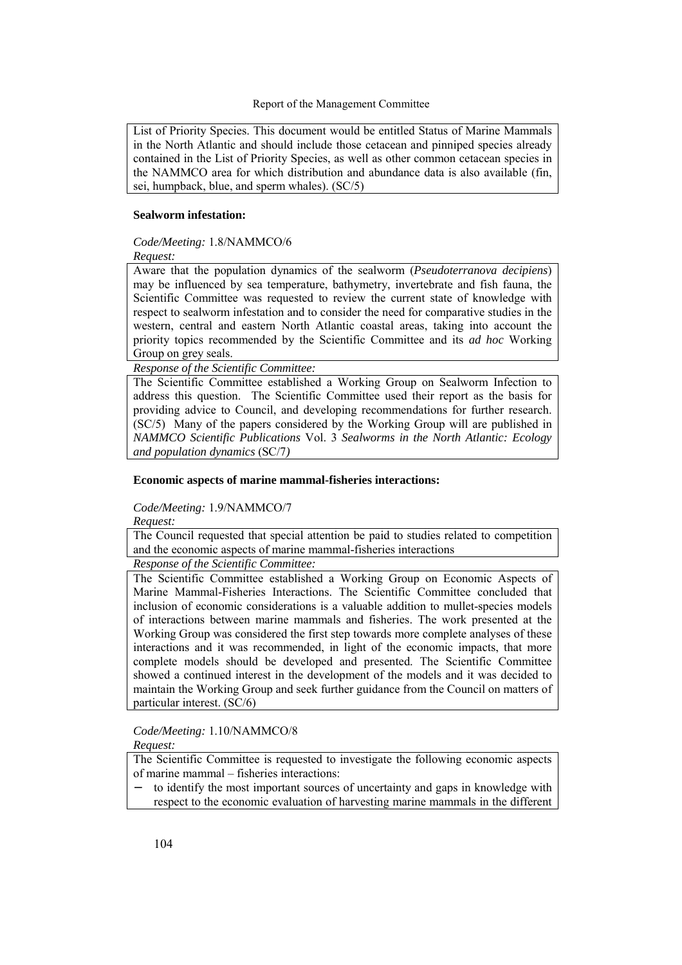List of Priority Species. This document would be entitled Status of Marine Mammals in the North Atlantic and should include those cetacean and pinniped species already contained in the List of Priority Species, as well as other common cetacean species in the NAMMCO area for which distribution and abundance data is also available (fin, sei, humpback, blue, and sperm whales). (SC/5)

### **Sealworm infestation:**

# *Code/Meeting:* 1.8/NAMMCO/6

*Request:* 

Aware that the population dynamics of the sealworm (*Pseudoterranova decipiens*) may be influenced by sea temperature, bathymetry, invertebrate and fish fauna, the Scientific Committee was requested to review the current state of knowledge with respect to sealworm infestation and to consider the need for comparative studies in the western, central and eastern North Atlantic coastal areas, taking into account the priority topics recommended by the Scientific Committee and its *ad hoc* Working Group on grey seals.

*Response of the Scientific Committee:* 

The Scientific Committee established a Working Group on Sealworm Infection to address this question. The Scientific Committee used their report as the basis for providing advice to Council, and developing recommendations for further research. (SC/5) Many of the papers considered by the Working Group will are published in *NAMMCO Scientific Publications* Vol. 3 *Sealworms in the North Atlantic: Ecology and population dynamics* (SC/7*)*

### **Economic aspects of marine mammal-fisheries interactions:**

# *Code/Meeting:* 1.9/NAMMCO/7

*Request:* 

The Council requested that special attention be paid to studies related to competition and the economic aspects of marine mammal-fisheries interactions

*Response of the Scientific Committee:* 

The Scientific Committee established a Working Group on Economic Aspects of Marine Mammal-Fisheries Interactions. The Scientific Committee concluded that inclusion of economic considerations is a valuable addition to mullet-species models of interactions between marine mammals and fisheries. The work presented at the Working Group was considered the first step towards more complete analyses of these interactions and it was recommended, in light of the economic impacts, that more complete models should be developed and presented. The Scientific Committee showed a continued interest in the development of the models and it was decided to maintain the Working Group and seek further guidance from the Council on matters of particular interest. (SC/6)

*Code/Meeting:* 1.10/NAMMCO/8

*Request:* 

The Scientific Committee is requested to investigate the following economic aspects of marine mammal  $-$  fisheries interactions:

to identify the most important sources of uncertainty and gaps in knowledge with respect to the economic evaluation of harvesting marine mammals in the different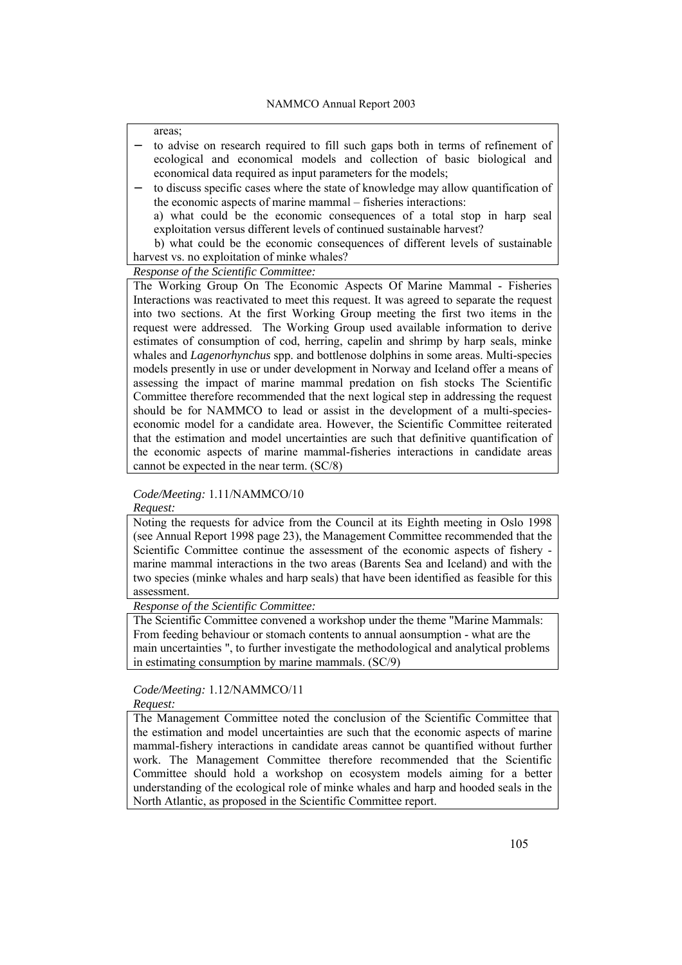areas;

- to advise on research required to fill such gaps both in terms of refinement of ecological and economical models and collection of basic biological and economical data required as input parameters for the models;
- to discuss specific cases where the state of knowledge may allow quantification of the economic aspects of marine mammal – fisheries interactions:

a) what could be the economic consequences of a total stop in harp seal exploitation versus different levels of continued sustainable harvest?

 b) what could be the economic consequences of different levels of sustainable harvest vs. no exploitation of minke whales?

*Response of the Scientific Committee:* 

The Working Group On The Economic Aspects Of Marine Mammal - Fisheries Interactions was reactivated to meet this request. It was agreed to separate the request into two sections. At the first Working Group meeting the first two items in the request were addressed. The Working Group used available information to derive estimates of consumption of cod, herring, capelin and shrimp by harp seals, minke whales and *Lagenorhynchus* spp. and bottlenose dolphins in some areas. Multi-species models presently in use or under development in Norway and Iceland offer a means of assessing the impact of marine mammal predation on fish stocks The Scientific Committee therefore recommended that the next logical step in addressing the request should be for NAMMCO to lead or assist in the development of a multi-specieseconomic model for a candidate area. However, the Scientific Committee reiterated that the estimation and model uncertainties are such that definitive quantification of the economic aspects of marine mammal-fisheries interactions in candidate areas cannot be expected in the near term. (SC/8)

*Code/Meeting:* 1.11/NAMMCO/10

*Request:* 

Noting the requests for advice from the Council at its Eighth meeting in Oslo 1998 (see Annual Report 1998 page 23), the Management Committee recommended that the Scientific Committee continue the assessment of the economic aspects of fishery marine mammal interactions in the two areas (Barents Sea and Iceland) and with the two species (minke whales and harp seals) that have been identified as feasible for this assessment.

*Response of the Scientific Committee:* 

The Scientific Committee convened a workshop under the theme "Marine Mammals: From feeding behaviour or stomach contents to annual aonsumption - what are the main uncertainties ", to further investigate the methodological and analytical problems in estimating consumption by marine mammals. (SC/9)

*Code/Meeting:* 1.12/NAMMCO/11

*Request:* 

The Management Committee noted the conclusion of the Scientific Committee that the estimation and model uncertainties are such that the economic aspects of marine mammal-fishery interactions in candidate areas cannot be quantified without further work. The Management Committee therefore recommended that the Scientific Committee should hold a workshop on ecosystem models aiming for a better understanding of the ecological role of minke whales and harp and hooded seals in the North Atlantic, as proposed in the Scientific Committee report.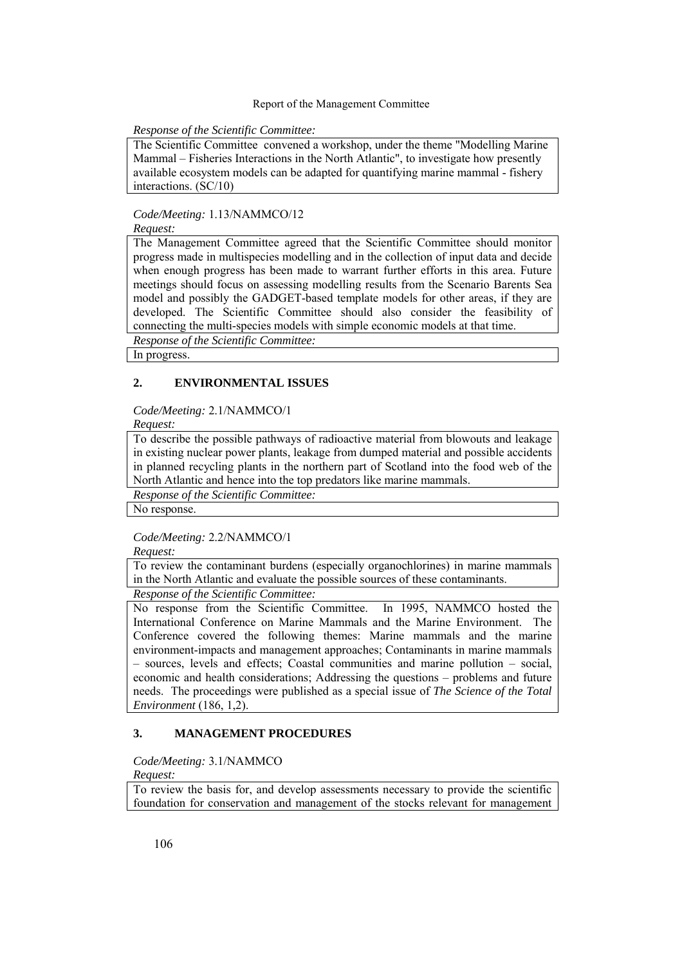### *Response of the Scientific Committee:*

The Scientific Committee convened a workshop, under the theme "Modelling Marine Mammal – Fisheries Interactions in the North Atlantic", to investigate how presently available ecosystem models can be adapted for quantifying marine mammal - fishery interactions. (SC/10)

### *Code/Meeting:* 1.13/NAMMCO/12

*Request:* 

The Management Committee agreed that the Scientific Committee should monitor progress made in multispecies modelling and in the collection of input data and decide when enough progress has been made to warrant further efforts in this area. Future meetings should focus on assessing modelling results from the Scenario Barents Sea model and possibly the GADGET-based template models for other areas, if they are developed. The Scientific Committee should also consider the feasibility of connecting the multi-species models with simple economic models at that time.

*Response of the Scientific Committee:* 

In progress.

# **2. ENVIRONMENTAL ISSUES**

### *Code/Meeting:* 2.1/NAMMCO/1

*Request:* 

To describe the possible pathways of radioactive material from blowouts and leakage in existing nuclear power plants, leakage from dumped material and possible accidents in planned recycling plants in the northern part of Scotland into the food web of the North Atlantic and hence into the top predators like marine mammals.

*Response of the Scientific Committee:* 

No response.

### *Code/Meeting:* 2.2/NAMMCO/1

*Request:* 

To review the contaminant burdens (especially organochlorines) in marine mammals in the North Atlantic and evaluate the possible sources of these contaminants.

### *Response of the Scientific Committee:*

No response from the Scientific Committee. In 1995, NAMMCO hosted the International Conference on Marine Mammals and the Marine Environment. The Conference covered the following themes: Marine mammals and the marine environment-impacts and management approaches; Contaminants in marine mammals  $-$  sources, levels and effects; Coastal communities and marine pollution  $-$  social, economic and health considerations; Addressing the questions  $-$  problems and future needs. The proceedings were published as a special issue of *The Science of the Total Environment* (186, 1,2).

# **3. MANAGEMENT PROCEDURES**

### *Code/Meeting:* 3.1/NAMMCO

*Request:* 

To review the basis for, and develop assessments necessary to provide the scientific foundation for conservation and management of the stocks relevant for management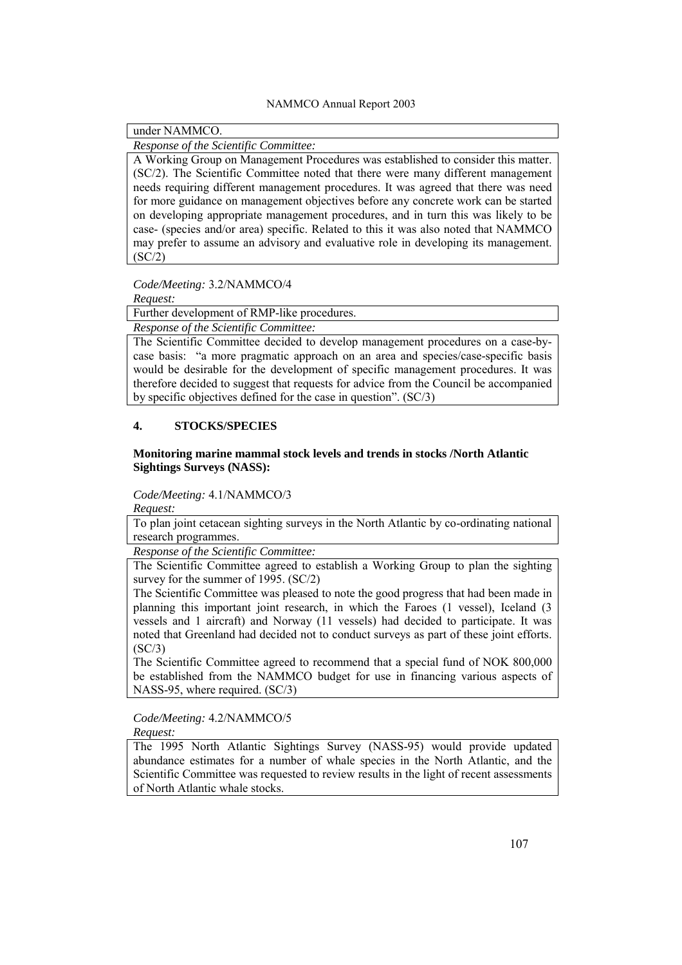under NAMMCO.

*Response of the Scientific Committee:* 

A Working Group on Management Procedures was established to consider this matter. (SC/2). The Scientific Committee noted that there were many different management needs requiring different management procedures. It was agreed that there was need for more guidance on management objectives before any concrete work can be started on developing appropriate management procedures, and in turn this was likely to be case- (species and/or area) specific. Related to this it was also noted that NAMMCO may prefer to assume an advisory and evaluative role in developing its management. (SC/2)

*Code/Meeting:* 3.2/NAMMCO/4

*Request:* 

Further development of RMP-like procedures.

*Response of the Scientific Committee:* 

The Scientific Committee decided to develop management procedures on a case-bycase basis: "a more pragmatic approach on an area and species/case-specific basis would be desirable for the development of specific management procedures. It was therefore decided to suggest that requests for advice from the Council be accompanied by specific objectives defined for the case in question". (SC/3)

# **4. STOCKS/SPECIES**

#### **Monitoring marine mammal stock levels and trends in stocks /North Atlantic Sightings Surveys (NASS):**

### *Code/Meeting:* 4.1/NAMMCO/3

*Request:* 

To plan joint cetacean sighting surveys in the North Atlantic by co-ordinating national research programmes.

*Response of the Scientific Committee:* 

The Scientific Committee agreed to establish a Working Group to plan the sighting survey for the summer of 1995. (SC/2)

The Scientific Committee was pleased to note the good progress that had been made in planning this important joint research, in which the Faroes (1 vessel), Iceland (3 vessels and 1 aircraft) and Norway (11 vessels) had decided to participate. It was noted that Greenland had decided not to conduct surveys as part of these joint efforts.  $(SC/3)$ 

The Scientific Committee agreed to recommend that a special fund of NOK 800,000 be established from the NAMMCO budget for use in financing various aspects of NASS-95, where required. (SC/3)

*Code/Meeting:* 4.2/NAMMCO/5

*Request:* 

The 1995 North Atlantic Sightings Survey (NASS-95) would provide updated abundance estimates for a number of whale species in the North Atlantic, and the Scientific Committee was requested to review results in the light of recent assessments of North Atlantic whale stocks.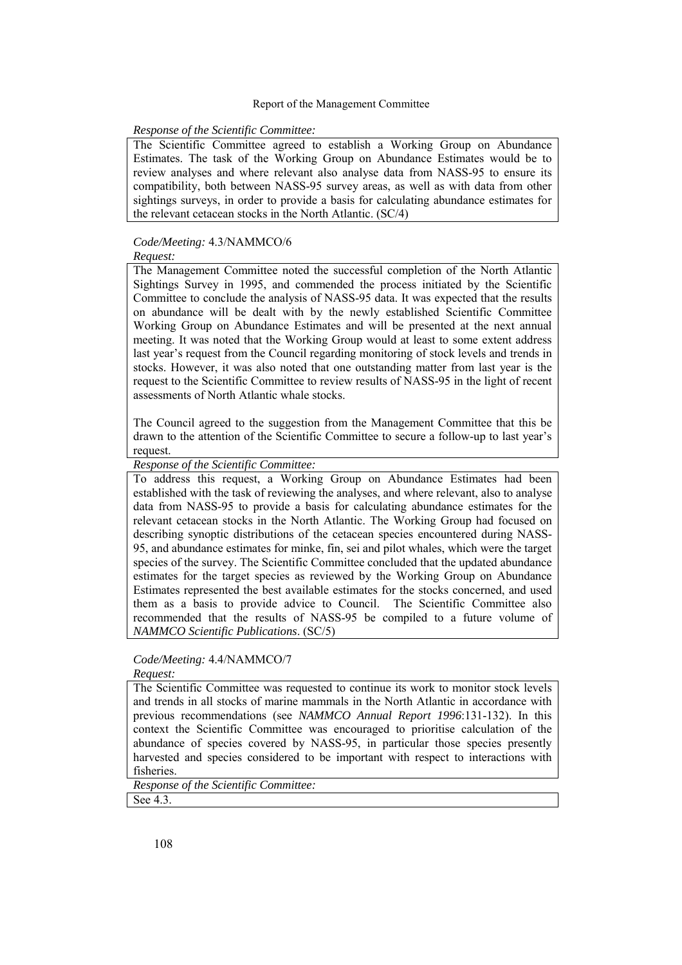### *Response of the Scientific Committee:*

The Scientific Committee agreed to establish a Working Group on Abundance Estimates. The task of the Working Group on Abundance Estimates would be to review analyses and where relevant also analyse data from NASS-95 to ensure its compatibility, both between NASS-95 survey areas, as well as with data from other sightings surveys, in order to provide a basis for calculating abundance estimates for the relevant cetacean stocks in the North Atlantic. (SC/4)

# *Code/Meeting:* 4.3/NAMMCO/6

*Request:* 

The Management Committee noted the successful completion of the North Atlantic Sightings Survey in 1995, and commended the process initiated by the Scientific Committee to conclude the analysis of NASS-95 data. It was expected that the results on abundance will be dealt with by the newly established Scientific Committee Working Group on Abundance Estimates and will be presented at the next annual meeting. It was noted that the Working Group would at least to some extent address last year's request from the Council regarding monitoring of stock levels and trends in stocks. However, it was also noted that one outstanding matter from last year is the request to the Scientific Committee to review results of NASS-95 in the light of recent assessments of North Atlantic whale stocks.

The Council agreed to the suggestion from the Management Committee that this be drawn to the attention of the Scientific Committee to secure a follow-up to last yearís request.

*Response of the Scientific Committee:* 

To address this request, a Working Group on Abundance Estimates had been established with the task of reviewing the analyses, and where relevant, also to analyse data from NASS-95 to provide a basis for calculating abundance estimates for the relevant cetacean stocks in the North Atlantic. The Working Group had focused on describing synoptic distributions of the cetacean species encountered during NASS-95, and abundance estimates for minke, fin, sei and pilot whales, which were the target species of the survey. The Scientific Committee concluded that the updated abundance estimates for the target species as reviewed by the Working Group on Abundance Estimates represented the best available estimates for the stocks concerned, and used them as a basis to provide advice to Council. The Scientific Committee also recommended that the results of NASS-95 be compiled to a future volume of *NAMMCO Scientific Publications*. (SC/5)

# *Code/Meeting:* 4.4/NAMMCO/7

#### *Request:*

The Scientific Committee was requested to continue its work to monitor stock levels and trends in all stocks of marine mammals in the North Atlantic in accordance with previous recommendations (see *NAMMCO Annual Report 1996*:131-132). In this context the Scientific Committee was encouraged to prioritise calculation of the abundance of species covered by NASS-95, in particular those species presently harvested and species considered to be important with respect to interactions with fisheries.

*Response of the Scientific Committee:*  See 4.3.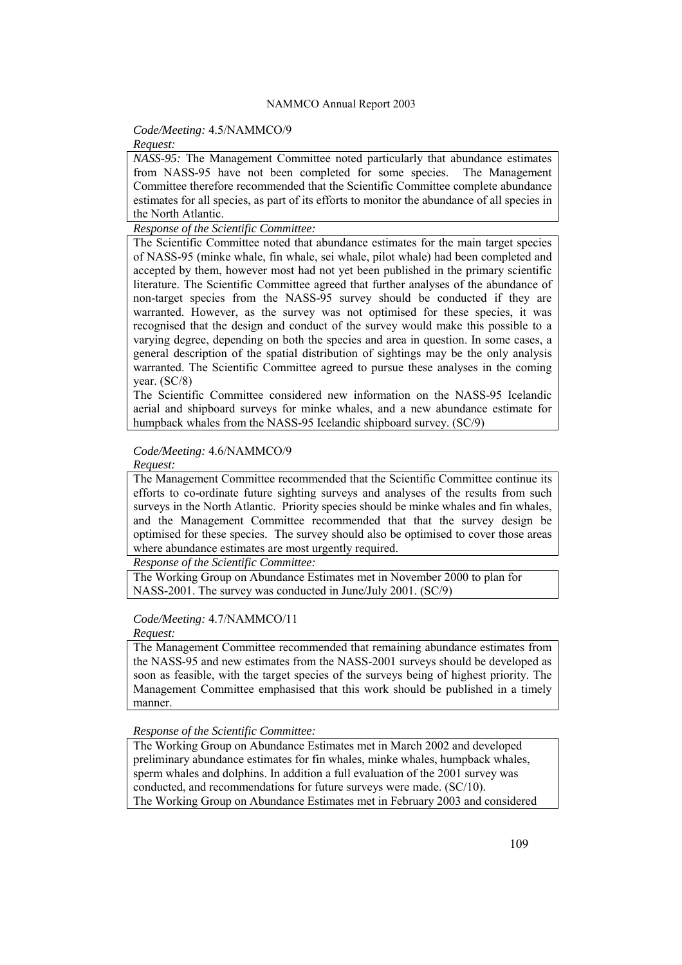# *Code/Meeting:* 4.5/NAMMCO/9

#### *Request:*

*NASS-95:* The Management Committee noted particularly that abundance estimates from NASS-95 have not been completed for some species. The Management Committee therefore recommended that the Scientific Committee complete abundance estimates for all species, as part of its efforts to monitor the abundance of all species in the North Atlantic.

*Response of the Scientific Committee:* 

The Scientific Committee noted that abundance estimates for the main target species of NASS-95 (minke whale, fin whale, sei whale, pilot whale) had been completed and accepted by them, however most had not yet been published in the primary scientific literature. The Scientific Committee agreed that further analyses of the abundance of non-target species from the NASS-95 survey should be conducted if they are warranted. However, as the survey was not optimised for these species, it was recognised that the design and conduct of the survey would make this possible to a varying degree, depending on both the species and area in question. In some cases, a general description of the spatial distribution of sightings may be the only analysis warranted. The Scientific Committee agreed to pursue these analyses in the coming year. (SC/8)

The Scientific Committee considered new information on the NASS-95 Icelandic aerial and shipboard surveys for minke whales, and a new abundance estimate for humpback whales from the NASS-95 Icelandic shipboard survey. (SC/9)

### *Code/Meeting:* 4.6/NAMMCO/9

*Request:* 

The Management Committee recommended that the Scientific Committee continue its efforts to co-ordinate future sighting surveys and analyses of the results from such surveys in the North Atlantic. Priority species should be minke whales and fin whales, and the Management Committee recommended that that the survey design be optimised for these species. The survey should also be optimised to cover those areas where abundance estimates are most urgently required.

*Response of the Scientific Committee:* 

The Working Group on Abundance Estimates met in November 2000 to plan for NASS-2001. The survey was conducted in June/July 2001. (SC/9)

# *Code/Meeting:* 4.7/NAMMCO/11

*Request:* 

The Management Committee recommended that remaining abundance estimates from the NASS-95 and new estimates from the NASS-2001 surveys should be developed as soon as feasible, with the target species of the surveys being of highest priority. The Management Committee emphasised that this work should be published in a timely manner.

*Response of the Scientific Committee:* 

The Working Group on Abundance Estimates met in March 2002 and developed preliminary abundance estimates for fin whales, minke whales, humpback whales, sperm whales and dolphins. In addition a full evaluation of the 2001 survey was conducted, and recommendations for future surveys were made. (SC/10). The Working Group on Abundance Estimates met in February 2003 and considered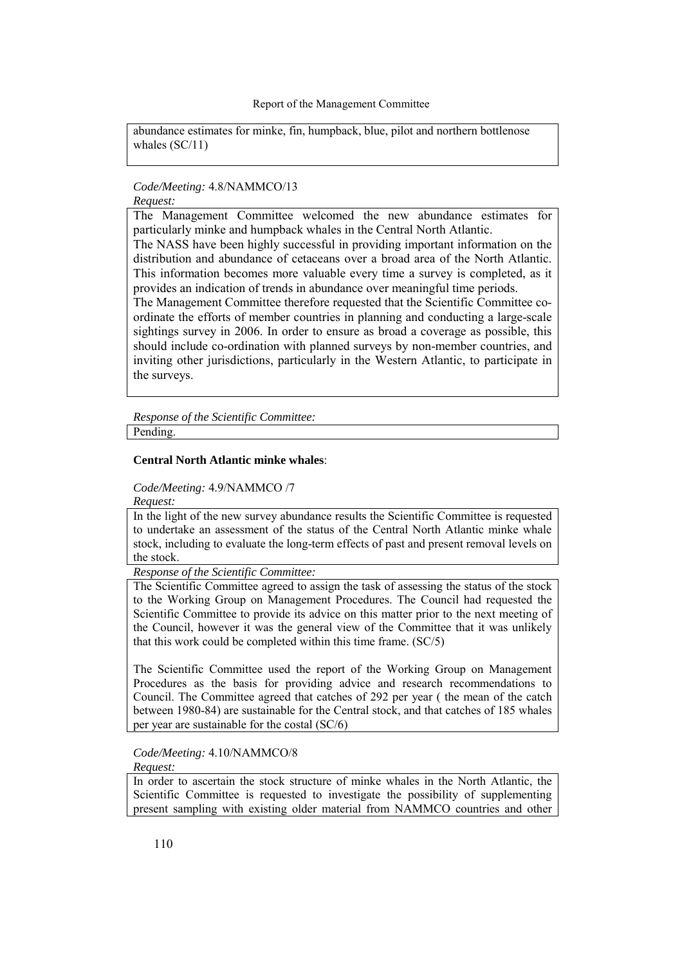abundance estimates for minke, fin, humpback, blue, pilot and northern bottlenose whales (SC/11)

#### *Code/Meeting:* 4.8/NAMMCO/13 *Request:*

The Management Committee welcomed the new abundance estimates for particularly minke and humpback whales in the Central North Atlantic.

The NASS have been highly successful in providing important information on the distribution and abundance of cetaceans over a broad area of the North Atlantic. This information becomes more valuable every time a survey is completed, as it provides an indication of trends in abundance over meaningful time periods.

The Management Committee therefore requested that the Scientific Committee coordinate the efforts of member countries in planning and conducting a large-scale sightings survey in 2006. In order to ensure as broad a coverage as possible, this should include co-ordination with planned surveys by non-member countries, and inviting other jurisdictions, particularly in the Western Atlantic, to participate in the surveys.

*Response of the Scientific Committee:*  Pending.

### **Central North Atlantic minke whales**:

### *Code/Meeting:* 4.9/NAMMCO /7

*Request:* 

In the light of the new survey abundance results the Scientific Committee is requested to undertake an assessment of the status of the Central North Atlantic minke whale stock, including to evaluate the long-term effects of past and present removal levels on the stock.

*Response of the Scientific Committee:* 

The Scientific Committee agreed to assign the task of assessing the status of the stock to the Working Group on Management Procedures. The Council had requested the Scientific Committee to provide its advice on this matter prior to the next meeting of the Council, however it was the general view of the Committee that it was unlikely that this work could be completed within this time frame. (SC/5)

The Scientific Committee used the report of the Working Group on Management Procedures as the basis for providing advice and research recommendations to Council. The Committee agreed that catches of 292 per year ( the mean of the catch between 1980-84) are sustainable for the Central stock, and that catches of 185 whales per year are sustainable for the costal (SC/6)

*Code/Meeting:* 4.10/NAMMCO/8

*Request:* 

In order to ascertain the stock structure of minke whales in the North Atlantic, the Scientific Committee is requested to investigate the possibility of supplementing present sampling with existing older material from NAMMCO countries and other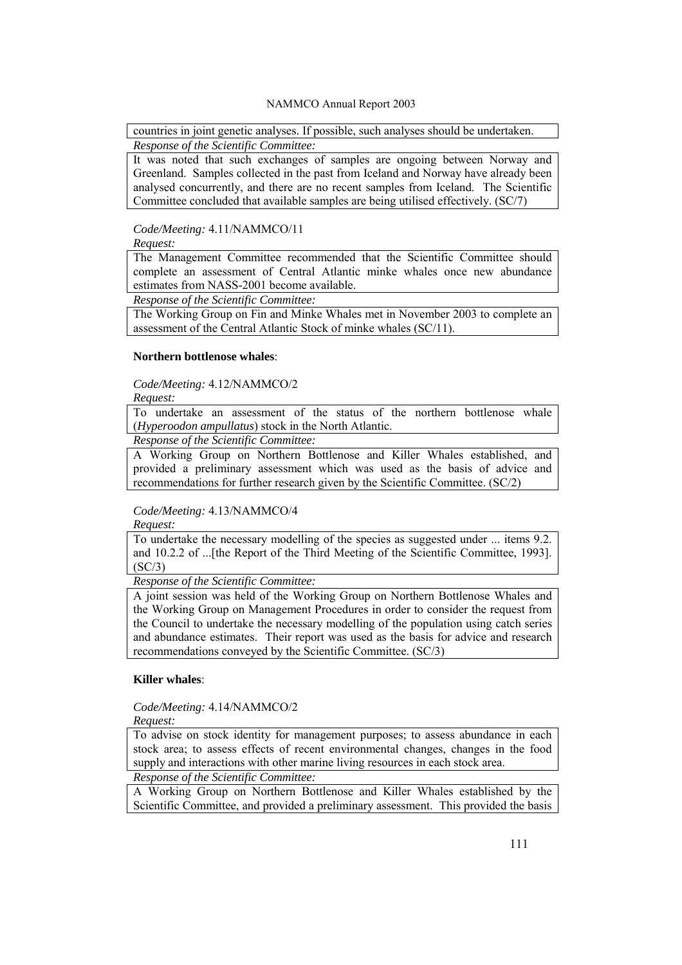countries in joint genetic analyses. If possible, such analyses should be undertaken. *Response of the Scientific Committee:* 

It was noted that such exchanges of samples are ongoing between Norway and Greenland. Samples collected in the past from Iceland and Norway have already been analysed concurrently, and there are no recent samples from Iceland. The Scientific Committee concluded that available samples are being utilised effectively. (SC/7)

### *Code/Meeting:* 4.11/NAMMCO/11

*Request:* 

The Management Committee recommended that the Scientific Committee should complete an assessment of Central Atlantic minke whales once new abundance estimates from NASS-2001 become available.

*Response of the Scientific Committee:* 

The Working Group on Fin and Minke Whales met in November 2003 to complete an assessment of the Central Atlantic Stock of minke whales (SC/11).

### **Northern bottlenose whales**:

*Code/Meeting:* 4.12/NAMMCO/2

*Request:* 

To undertake an assessment of the status of the northern bottlenose whale (*Hyperoodon ampullatus*) stock in the North Atlantic.

*Response of the Scientific Committee:* 

A Working Group on Northern Bottlenose and Killer Whales established, and provided a preliminary assessment which was used as the basis of advice and recommendations for further research given by the Scientific Committee. (SC/2)

# *Code/Meeting:* 4.13/NAMMCO/4

*Request:* 

To undertake the necessary modelling of the species as suggested under ... items 9.2. and 10.2.2 of ...[the Report of the Third Meeting of the Scientific Committee, 1993]. (SC/3)

*Response of the Scientific Committee:* 

A joint session was held of the Working Group on Northern Bottlenose Whales and the Working Group on Management Procedures in order to consider the request from the Council to undertake the necessary modelling of the population using catch series and abundance estimates. Their report was used as the basis for advice and research recommendations conveyed by the Scientific Committee. (SC/3)

# **Killer whales**:

*Code/Meeting:* 4.14/NAMMCO/2

*Request:* 

To advise on stock identity for management purposes; to assess abundance in each stock area; to assess effects of recent environmental changes, changes in the food supply and interactions with other marine living resources in each stock area.

*Response of the Scientific Committee:* 

A Working Group on Northern Bottlenose and Killer Whales established by the Scientific Committee, and provided a preliminary assessment. This provided the basis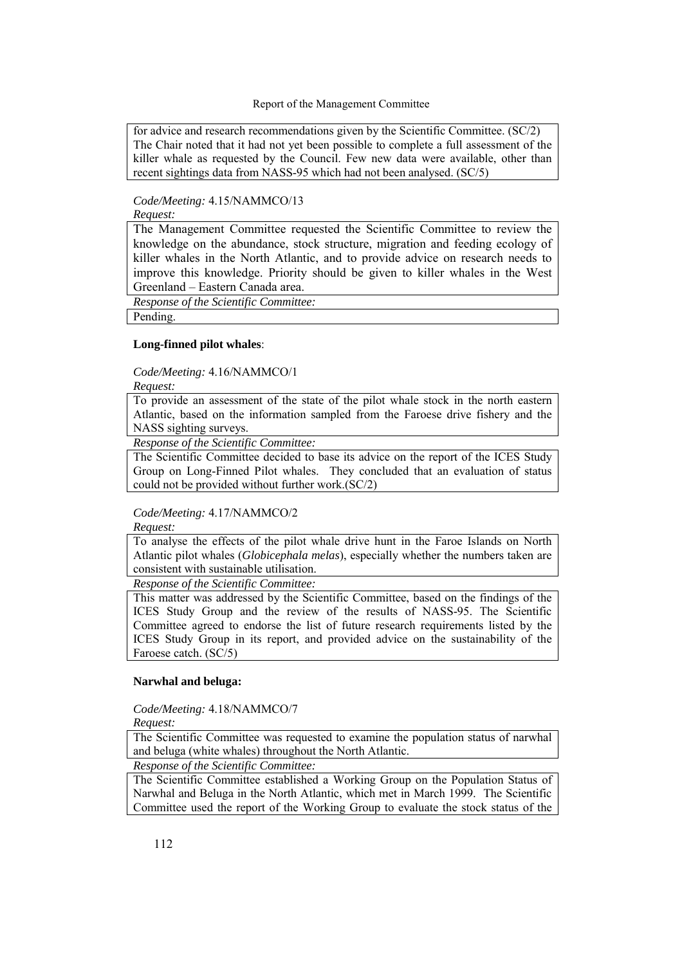for advice and research recommendations given by the Scientific Committee. (SC/2) The Chair noted that it had not yet been possible to complete a full assessment of the killer whale as requested by the Council. Few new data were available, other than recent sightings data from NASS-95 which had not been analysed. (SC/5)

# *Code/Meeting:* 4.15/NAMMCO/13

*Request:* 

The Management Committee requested the Scientific Committee to review the knowledge on the abundance, stock structure, migration and feeding ecology of killer whales in the North Atlantic, and to provide advice on research needs to improve this knowledge. Priority should be given to killer whales in the West Greenland - Eastern Canada area.

*Response of the Scientific Committee:* 

Pending.

# **Long-finned pilot whales**:

*Code/Meeting:* 4.16/NAMMCO/1

*Request:* 

To provide an assessment of the state of the pilot whale stock in the north eastern Atlantic, based on the information sampled from the Faroese drive fishery and the NASS sighting surveys.

*Response of the Scientific Committee:* 

The Scientific Committee decided to base its advice on the report of the ICES Study Group on Long-Finned Pilot whales. They concluded that an evaluation of status could not be provided without further work.(SC/2)

# *Code/Meeting:* 4.17/NAMMCO/2

*Request:* 

To analyse the effects of the pilot whale drive hunt in the Faroe Islands on North Atlantic pilot whales (*Globicephala melas*), especially whether the numbers taken are consistent with sustainable utilisation.

*Response of the Scientific Committee:* 

This matter was addressed by the Scientific Committee, based on the findings of the ICES Study Group and the review of the results of NASS-95. The Scientific Committee agreed to endorse the list of future research requirements listed by the ICES Study Group in its report, and provided advice on the sustainability of the Faroese catch. (SC/5)

# **Narwhal and beluga:**

*Code/Meeting:* 4.18/NAMMCO/7

*Request:* 

The Scientific Committee was requested to examine the population status of narwhal and beluga (white whales) throughout the North Atlantic.

*Response of the Scientific Committee:* 

The Scientific Committee established a Working Group on the Population Status of Narwhal and Beluga in the North Atlantic, which met in March 1999. The Scientific Committee used the report of the Working Group to evaluate the stock status of the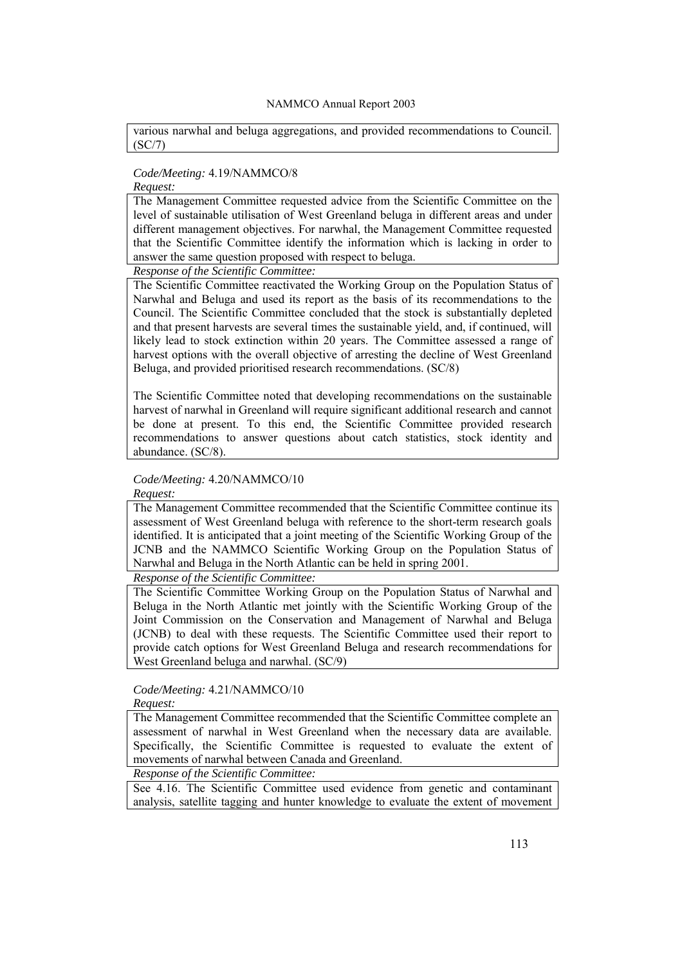various narwhal and beluga aggregations, and provided recommendations to Council. (SC/7)

# *Code/Meeting:* 4.19/NAMMCO/8

# *Request:*

The Management Committee requested advice from the Scientific Committee on the level of sustainable utilisation of West Greenland beluga in different areas and under different management objectives. For narwhal, the Management Committee requested that the Scientific Committee identify the information which is lacking in order to answer the same question proposed with respect to beluga.

*Response of the Scientific Committee:* 

The Scientific Committee reactivated the Working Group on the Population Status of Narwhal and Beluga and used its report as the basis of its recommendations to the Council. The Scientific Committee concluded that the stock is substantially depleted and that present harvests are several times the sustainable yield, and, if continued, will likely lead to stock extinction within 20 years. The Committee assessed a range of harvest options with the overall objective of arresting the decline of West Greenland Beluga, and provided prioritised research recommendations. (SC/8)

The Scientific Committee noted that developing recommendations on the sustainable harvest of narwhal in Greenland will require significant additional research and cannot be done at present. To this end, the Scientific Committee provided research recommendations to answer questions about catch statistics, stock identity and abundance. (SC/8).

# *Code/Meeting:* 4.20/NAMMCO/10

*Request:* 

The Management Committee recommended that the Scientific Committee continue its assessment of West Greenland beluga with reference to the short-term research goals identified. It is anticipated that a joint meeting of the Scientific Working Group of the JCNB and the NAMMCO Scientific Working Group on the Population Status of Narwhal and Beluga in the North Atlantic can be held in spring 2001.

*Response of the Scientific Committee:* 

The Scientific Committee Working Group on the Population Status of Narwhal and Beluga in the North Atlantic met jointly with the Scientific Working Group of the Joint Commission on the Conservation and Management of Narwhal and Beluga (JCNB) to deal with these requests. The Scientific Committee used their report to provide catch options for West Greenland Beluga and research recommendations for West Greenland beluga and narwhal. (SC/9)

# *Code/Meeting:* 4.21/NAMMCO/10

*Request:* 

The Management Committee recommended that the Scientific Committee complete an assessment of narwhal in West Greenland when the necessary data are available. Specifically, the Scientific Committee is requested to evaluate the extent of movements of narwhal between Canada and Greenland.

*Response of the Scientific Committee:* 

See 4.16. The Scientific Committee used evidence from genetic and contaminant analysis, satellite tagging and hunter knowledge to evaluate the extent of movement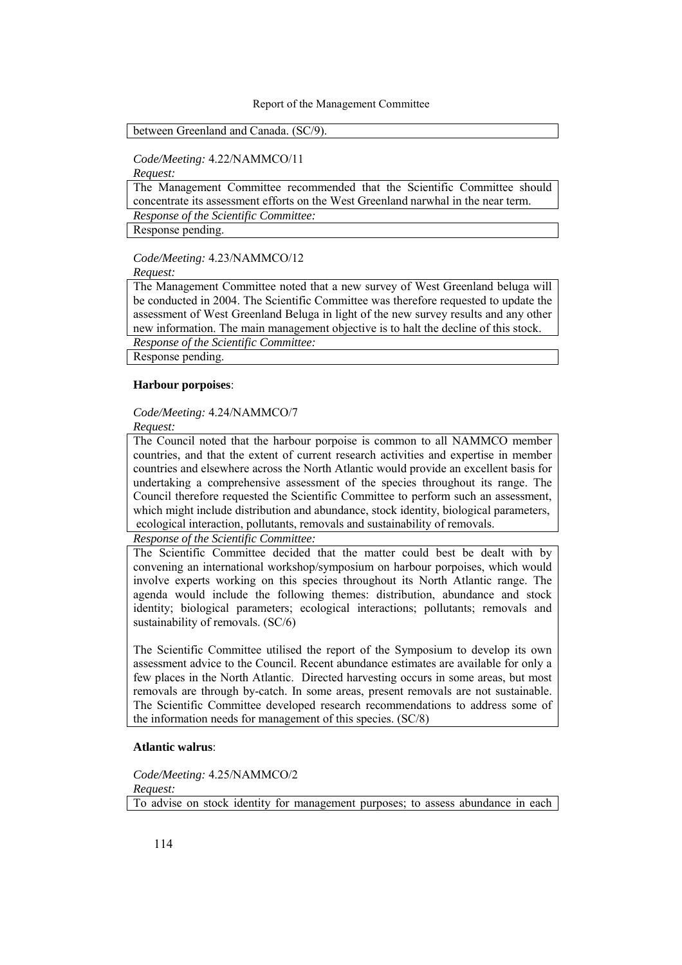#### between Greenland and Canada. (SC/9).

*Code/Meeting:* 4.22/NAMMCO/11

*Request:* 

The Management Committee recommended that the Scientific Committee should concentrate its assessment efforts on the West Greenland narwhal in the near term.

*Response of the Scientific Committee:* 

Response pending.

*Code/Meeting:* 4.23/NAMMCO/12

*Request:* 

The Management Committee noted that a new survey of West Greenland beluga will be conducted in 2004. The Scientific Committee was therefore requested to update the assessment of West Greenland Beluga in light of the new survey results and any other new information. The main management objective is to halt the decline of this stock.

*Response of the Scientific Committee:* 

Response pending.

### **Harbour porpoises**:

### *Code/Meeting:* 4.24/NAMMCO/7

*Request:* 

The Council noted that the harbour porpoise is common to all NAMMCO member countries, and that the extent of current research activities and expertise in member countries and elsewhere across the North Atlantic would provide an excellent basis for undertaking a comprehensive assessment of the species throughout its range. The Council therefore requested the Scientific Committee to perform such an assessment, which might include distribution and abundance, stock identity, biological parameters, ecological interaction, pollutants, removals and sustainability of removals.

*Response of the Scientific Committee:* 

The Scientific Committee decided that the matter could best be dealt with by convening an international workshop/symposium on harbour porpoises, which would involve experts working on this species throughout its North Atlantic range. The agenda would include the following themes: distribution, abundance and stock identity; biological parameters; ecological interactions; pollutants; removals and sustainability of removals. (SC/6)

The Scientific Committee utilised the report of the Symposium to develop its own assessment advice to the Council. Recent abundance estimates are available for only a few places in the North Atlantic. Directed harvesting occurs in some areas, but most removals are through by-catch. In some areas, present removals are not sustainable. The Scientific Committee developed research recommendations to address some of the information needs for management of this species. (SC/8)

### **Atlantic walrus**:

*Code/Meeting:* 4.25/NAMMCO/2 *Request:*  To advise on stock identity for management purposes; to assess abundance in each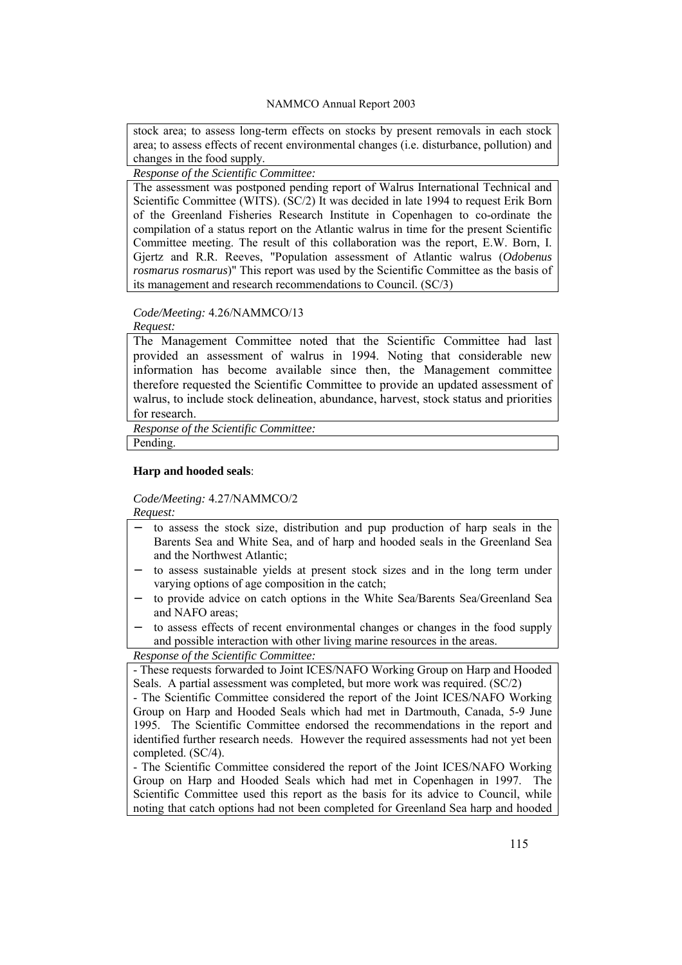stock area; to assess long-term effects on stocks by present removals in each stock area; to assess effects of recent environmental changes (i.e. disturbance, pollution) and changes in the food supply.

*Response of the Scientific Committee:* 

The assessment was postponed pending report of Walrus International Technical and Scientific Committee (WITS). (SC/2) It was decided in late 1994 to request Erik Born of the Greenland Fisheries Research Institute in Copenhagen to co-ordinate the compilation of a status report on the Atlantic walrus in time for the present Scientific Committee meeting. The result of this collaboration was the report, E.W. Born, I. Gjertz and R.R. Reeves, "Population assessment of Atlantic walrus (*Odobenus rosmarus rosmarus*)" This report was used by the Scientific Committee as the basis of its management and research recommendations to Council. (SC/3)

### *Code/Meeting:* 4.26/NAMMCO/13

*Request:* 

The Management Committee noted that the Scientific Committee had last provided an assessment of walrus in 1994. Noting that considerable new information has become available since then, the Management committee therefore requested the Scientific Committee to provide an updated assessment of walrus, to include stock delineation, abundance, harvest, stock status and priorities for research.

*Response of the Scientific Committee:* 

Pending.

### **Harp and hooded seals**:

*Code/Meeting:* 4.27/NAMMCO/2

*Request:* 

- to assess the stock size, distribution and pup production of harp seals in the Barents Sea and White Sea, and of harp and hooded seals in the Greenland Sea and the Northwest Atlantic;
- to assess sustainable yields at present stock sizes and in the long term under varying options of age composition in the catch;
- − to provide advice on catch options in the White Sea/Barents Sea/Greenland Sea and NAFO areas;
- to assess effects of recent environmental changes or changes in the food supply and possible interaction with other living marine resources in the areas.

*Response of the Scientific Committee:* 

- These requests forwarded to Joint ICES/NAFO Working Group on Harp and Hooded Seals. A partial assessment was completed, but more work was required. (SC/2)

- The Scientific Committee considered the report of the Joint ICES/NAFO Working Group on Harp and Hooded Seals which had met in Dartmouth, Canada, 5-9 June 1995. The Scientific Committee endorsed the recommendations in the report and identified further research needs. However the required assessments had not yet been completed. (SC/4).

- The Scientific Committee considered the report of the Joint ICES/NAFO Working Group on Harp and Hooded Seals which had met in Copenhagen in 1997. The Scientific Committee used this report as the basis for its advice to Council, while noting that catch options had not been completed for Greenland Sea harp and hooded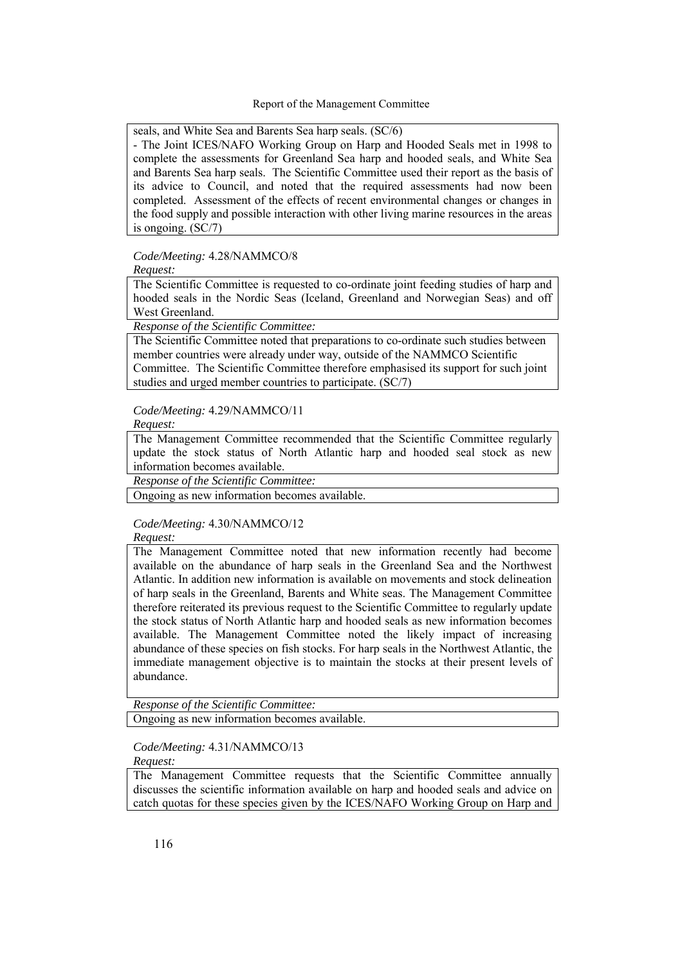seals, and White Sea and Barents Sea harp seals. (SC/6)

- The Joint ICES/NAFO Working Group on Harp and Hooded Seals met in 1998 to complete the assessments for Greenland Sea harp and hooded seals, and White Sea and Barents Sea harp seals. The Scientific Committee used their report as the basis of its advice to Council, and noted that the required assessments had now been completed. Assessment of the effects of recent environmental changes or changes in the food supply and possible interaction with other living marine resources in the areas is ongoing. (SC/7)

*Code/Meeting:* 4.28/NAMMCO/8

*Request:* 

The Scientific Committee is requested to co-ordinate joint feeding studies of harp and hooded seals in the Nordic Seas (Iceland, Greenland and Norwegian Seas) and off West Greenland.

*Response of the Scientific Committee:* 

The Scientific Committee noted that preparations to co-ordinate such studies between member countries were already under way, outside of the NAMMCO Scientific Committee. The Scientific Committee therefore emphasised its support for such joint studies and urged member countries to participate. (SC/7)

*Code/Meeting:* 4.29/NAMMCO/11

*Request:* 

The Management Committee recommended that the Scientific Committee regularly update the stock status of North Atlantic harp and hooded seal stock as new information becomes available.

*Response of the Scientific Committee:* 

Ongoing as new information becomes available.

*Code/Meeting:* 4.30/NAMMCO/12 *Request:* 

The Management Committee noted that new information recently had become available on the abundance of harp seals in the Greenland Sea and the Northwest Atlantic. In addition new information is available on movements and stock delineation of harp seals in the Greenland, Barents and White seas. The Management Committee therefore reiterated its previous request to the Scientific Committee to regularly update the stock status of North Atlantic harp and hooded seals as new information becomes available. The Management Committee noted the likely impact of increasing abundance of these species on fish stocks. For harp seals in the Northwest Atlantic, the immediate management objective is to maintain the stocks at their present levels of abundance.

*Response of the Scientific Committee:* 

Ongoing as new information becomes available.

*Code/Meeting:* 4.31/NAMMCO/13 *Request:* 

The Management Committee requests that the Scientific Committee annually discusses the scientific information available on harp and hooded seals and advice on catch quotas for these species given by the ICES/NAFO Working Group on Harp and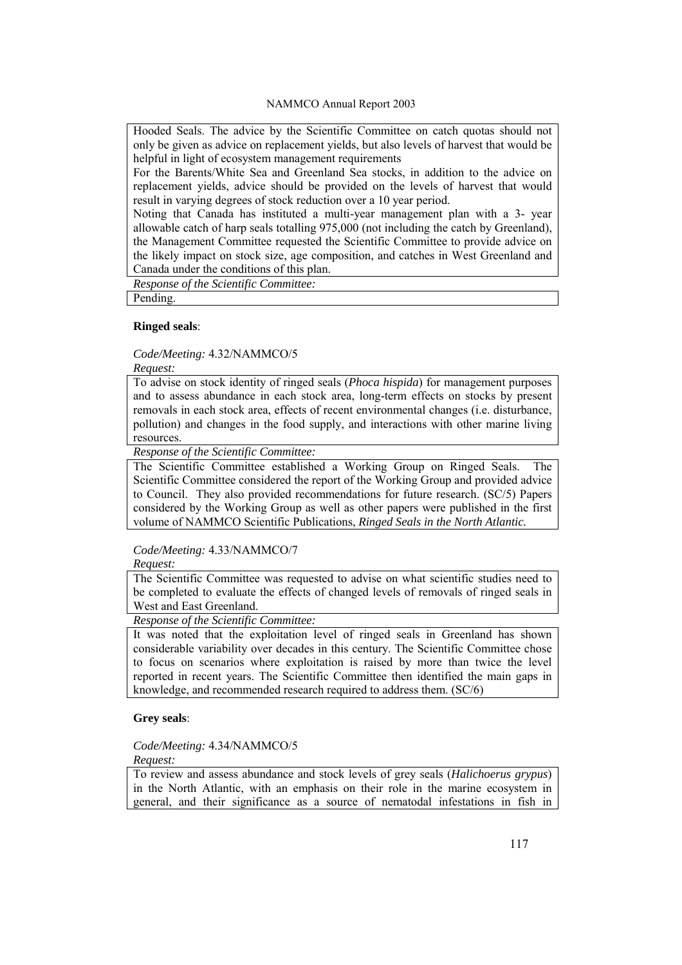Hooded Seals. The advice by the Scientific Committee on catch quotas should not only be given as advice on replacement yields, but also levels of harvest that would be helpful in light of ecosystem management requirements

For the Barents/White Sea and Greenland Sea stocks, in addition to the advice on replacement yields, advice should be provided on the levels of harvest that would result in varying degrees of stock reduction over a 10 year period.

Noting that Canada has instituted a multi-year management plan with a 3- year allowable catch of harp seals totalling 975,000 (not including the catch by Greenland), the Management Committee requested the Scientific Committee to provide advice on the likely impact on stock size, age composition, and catches in West Greenland and Canada under the conditions of this plan.

*Response of the Scientific Committee:* 

Pending.

### **Ringed seals**:

*Code/Meeting:* 4.32/NAMMCO/5

*Request:* 

To advise on stock identity of ringed seals (*Phoca hispida*) for management purposes and to assess abundance in each stock area, long-term effects on stocks by present removals in each stock area, effects of recent environmental changes (i.e. disturbance, pollution) and changes in the food supply, and interactions with other marine living resources.

*Response of the Scientific Committee:* 

The Scientific Committee established a Working Group on Ringed Seals. The Scientific Committee considered the report of the Working Group and provided advice to Council. They also provided recommendations for future research. (SC/5) Papers considered by the Working Group as well as other papers were published in the first volume of NAMMCO Scientific Publications, *Ringed Seals in the North Atlantic.*

# *Code/Meeting:* 4.33/NAMMCO/7

*Request:* 

The Scientific Committee was requested to advise on what scientific studies need to be completed to evaluate the effects of changed levels of removals of ringed seals in West and East Greenland.

*Response of the Scientific Committee:* 

It was noted that the exploitation level of ringed seals in Greenland has shown considerable variability over decades in this century. The Scientific Committee chose to focus on scenarios where exploitation is raised by more than twice the level reported in recent years. The Scientific Committee then identified the main gaps in knowledge, and recommended research required to address them. (SC/6)

# **Grey seals**:

*Code/Meeting:* 4.34/NAMMCO/5 *Request:* 

To review and assess abundance and stock levels of grey seals (*Halichoerus grypus*) in the North Atlantic, with an emphasis on their role in the marine ecosystem in general, and their significance as a source of nematodal infestations in fish in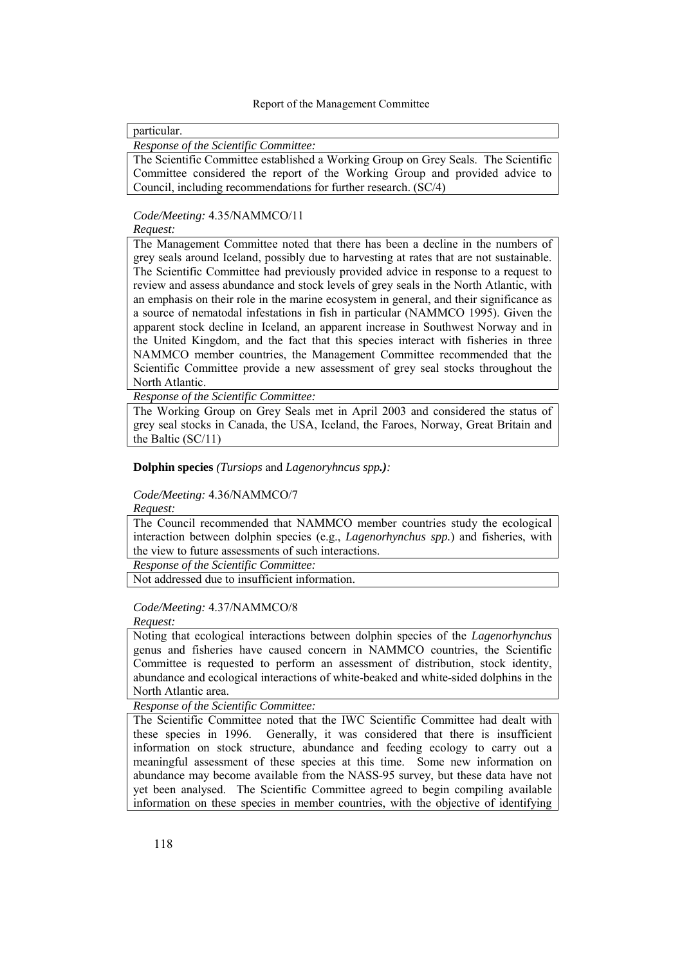particular.

*Response of the Scientific Committee:* 

The Scientific Committee established a Working Group on Grey Seals. The Scientific Committee considered the report of the Working Group and provided advice to Council, including recommendations for further research. (SC/4)

*Code/Meeting:* 4.35/NAMMCO/11

### *Request:*

The Management Committee noted that there has been a decline in the numbers of grey seals around Iceland, possibly due to harvesting at rates that are not sustainable. The Scientific Committee had previously provided advice in response to a request to review and assess abundance and stock levels of grey seals in the North Atlantic, with an emphasis on their role in the marine ecosystem in general, and their significance as a source of nematodal infestations in fish in particular (NAMMCO 1995). Given the apparent stock decline in Iceland, an apparent increase in Southwest Norway and in the United Kingdom, and the fact that this species interact with fisheries in three NAMMCO member countries, the Management Committee recommended that the Scientific Committee provide a new assessment of grey seal stocks throughout the North Atlantic.

*Response of the Scientific Committee:* 

The Working Group on Grey Seals met in April 2003 and considered the status of grey seal stocks in Canada, the USA, Iceland, the Faroes, Norway, Great Britain and the Baltic (SC/11)

**Dolphin species** *(Tursiops* and *Lagenoryhncus spp.):*

### *Code/Meeting:* 4.36/NAMMCO/7

*Request:* 

The Council recommended that NAMMCO member countries study the ecological interaction between dolphin species (e.g., *Lagenorhynchus spp.*) and fisheries, with the view to future assessments of such interactions.

*Response of the Scientific Committee:* 

Not addressed due to insufficient information.

### *Code/Meeting:* 4.37/NAMMCO/8

*Request:* 

Noting that ecological interactions between dolphin species of the *Lagenorhynchus*  genus and fisheries have caused concern in NAMMCO countries, the Scientific Committee is requested to perform an assessment of distribution, stock identity, abundance and ecological interactions of white-beaked and white-sided dolphins in the North Atlantic area.

*Response of the Scientific Committee:* 

The Scientific Committee noted that the IWC Scientific Committee had dealt with these species in 1996. Generally, it was considered that there is insufficient information on stock structure, abundance and feeding ecology to carry out a meaningful assessment of these species at this time. Some new information on abundance may become available from the NASS-95 survey, but these data have not yet been analysed. The Scientific Committee agreed to begin compiling available information on these species in member countries, with the objective of identifying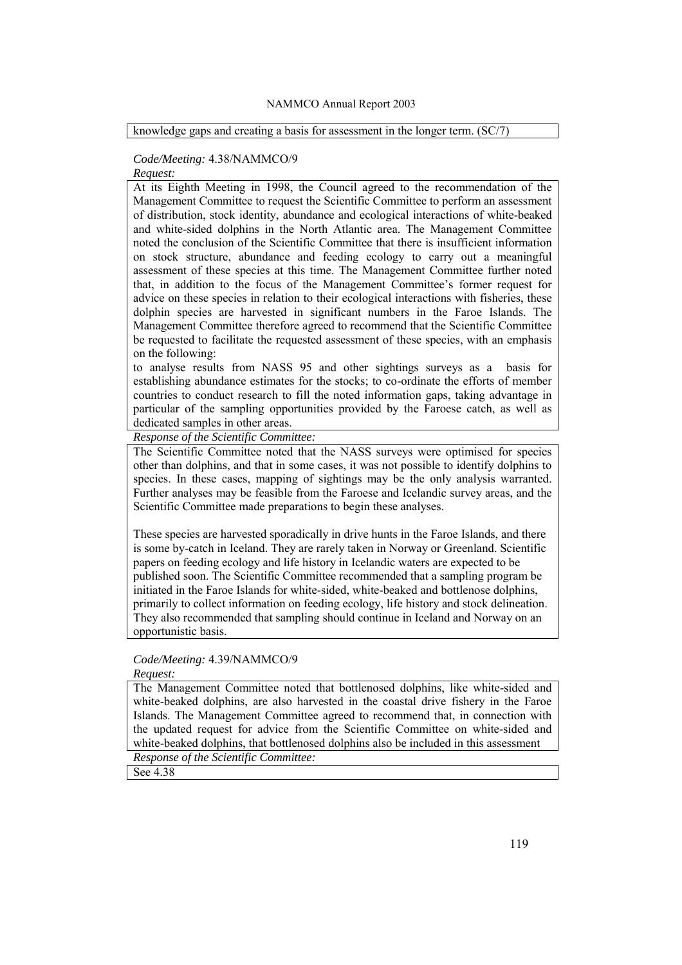knowledge gaps and creating a basis for assessment in the longer term. (SC/7)

### *Code/Meeting:* 4.38/NAMMCO/9

*Request:*  At its Eighth Meeting in 1998, the Council agreed to the recommendation of the Management Committee to request the Scientific Committee to perform an assessment of distribution, stock identity, abundance and ecological interactions of white-beaked and white-sided dolphins in the North Atlantic area. The Management Committee noted the conclusion of the Scientific Committee that there is insufficient information on stock structure, abundance and feeding ecology to carry out a meaningful assessment of these species at this time. The Management Committee further noted that, in addition to the focus of the Management Committee's former request for advice on these species in relation to their ecological interactions with fisheries, these dolphin species are harvested in significant numbers in the Faroe Islands. The Management Committee therefore agreed to recommend that the Scientific Committee be requested to facilitate the requested assessment of these species, with an emphasis on the following:

to analyse results from NASS 95 and other sightings surveys as a basis for establishing abundance estimates for the stocks; to co-ordinate the efforts of member countries to conduct research to fill the noted information gaps, taking advantage in particular of the sampling opportunities provided by the Faroese catch, as well as dedicated samples in other areas.

*Response of the Scientific Committee:* 

The Scientific Committee noted that the NASS surveys were optimised for species other than dolphins, and that in some cases, it was not possible to identify dolphins to species. In these cases, mapping of sightings may be the only analysis warranted. Further analyses may be feasible from the Faroese and Icelandic survey areas, and the Scientific Committee made preparations to begin these analyses.

These species are harvested sporadically in drive hunts in the Faroe Islands, and there is some by-catch in Iceland. They are rarely taken in Norway or Greenland. Scientific papers on feeding ecology and life history in Icelandic waters are expected to be published soon. The Scientific Committee recommended that a sampling program be initiated in the Faroe Islands for white-sided, white-beaked and bottlenose dolphins, primarily to collect information on feeding ecology, life history and stock delineation. They also recommended that sampling should continue in Iceland and Norway on an opportunistic basis.

# *Code/Meeting:* 4.39/NAMMCO/9

#### *Request:*

The Management Committee noted that bottlenosed dolphins, like white-sided and white-beaked dolphins, are also harvested in the coastal drive fishery in the Faroe Islands. The Management Committee agreed to recommend that, in connection with the updated request for advice from the Scientific Committee on white-sided and white-beaked dolphins, that bottlenosed dolphins also be included in this assessment *Response of the Scientific Committee:* 

See 4.38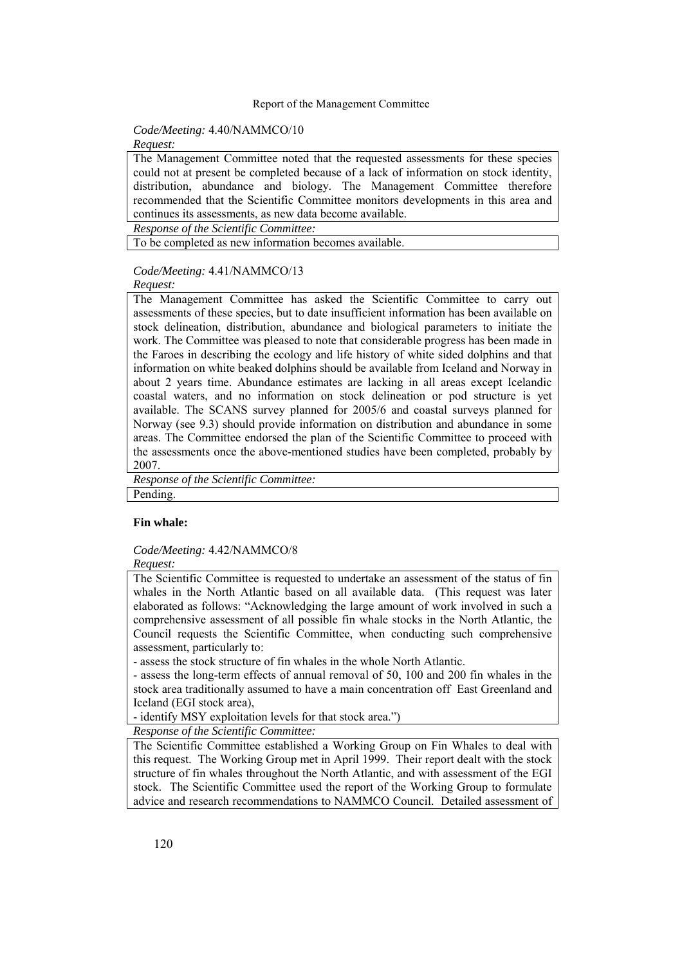### *Code/Meeting:* 4.40/NAMMCO/10

#### *Request:*

The Management Committee noted that the requested assessments for these species could not at present be completed because of a lack of information on stock identity, distribution, abundance and biology. The Management Committee therefore recommended that the Scientific Committee monitors developments in this area and continues its assessments, as new data become available.

*Response of the Scientific Committee:* 

To be completed as new information becomes available.

#### *Code/Meeting:* 4.41/NAMMCO/13

#### *Request:*

The Management Committee has asked the Scientific Committee to carry out assessments of these species, but to date insufficient information has been available on stock delineation, distribution, abundance and biological parameters to initiate the work. The Committee was pleased to note that considerable progress has been made in the Faroes in describing the ecology and life history of white sided dolphins and that information on white beaked dolphins should be available from Iceland and Norway in about 2 years time. Abundance estimates are lacking in all areas except Icelandic coastal waters, and no information on stock delineation or pod structure is yet available. The SCANS survey planned for 2005/6 and coastal surveys planned for Norway (see 9.3) should provide information on distribution and abundance in some areas. The Committee endorsed the plan of the Scientific Committee to proceed with the assessments once the above-mentioned studies have been completed, probably by 2007.

*Response of the Scientific Committee:* 

Pending.

### **Fin whale:**

#### *Code/Meeting:* 4.42/NAMMCO/8

*Request:* 

The Scientific Committee is requested to undertake an assessment of the status of fin whales in the North Atlantic based on all available data. (This request was later elaborated as follows: "Acknowledging the large amount of work involved in such a comprehensive assessment of all possible fin whale stocks in the North Atlantic, the Council requests the Scientific Committee, when conducting such comprehensive assessment, particularly to:

- assess the stock structure of fin whales in the whole North Atlantic.

- assess the long-term effects of annual removal of 50, 100 and 200 fin whales in the stock area traditionally assumed to have a main concentration off East Greenland and Iceland (EGI stock area),

- identify MSY exploitation levels for that stock area.")

*Response of the Scientific Committee:* 

The Scientific Committee established a Working Group on Fin Whales to deal with this request. The Working Group met in April 1999. Their report dealt with the stock structure of fin whales throughout the North Atlantic, and with assessment of the EGI stock. The Scientific Committee used the report of the Working Group to formulate advice and research recommendations to NAMMCO Council. Detailed assessment of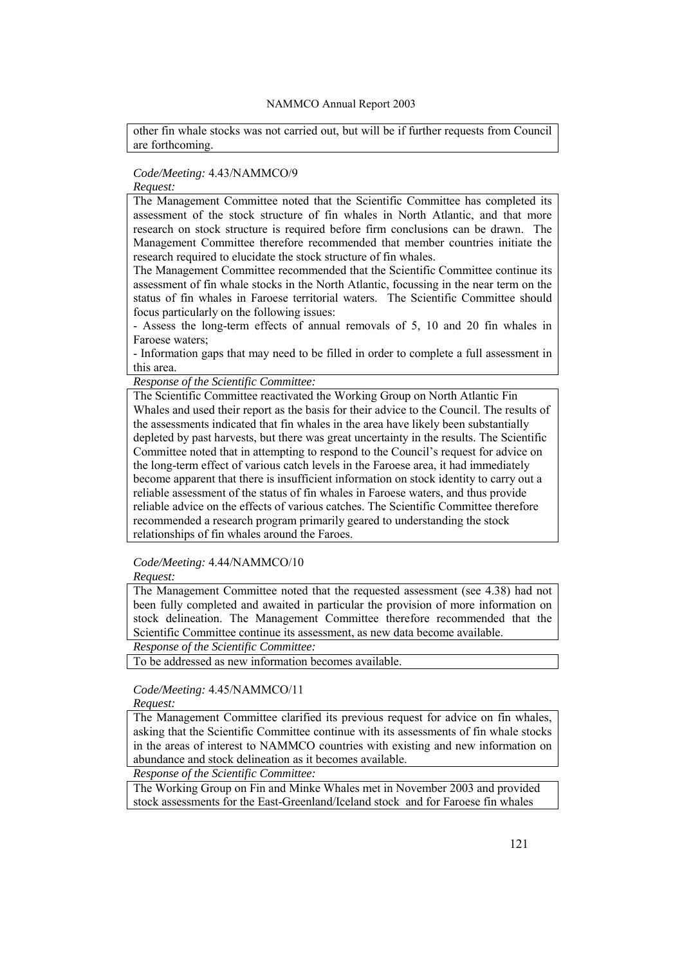other fin whale stocks was not carried out, but will be if further requests from Council are forthcoming.

# *Code/Meeting:* 4.43/NAMMCO/9

# *Request:*

The Management Committee noted that the Scientific Committee has completed its assessment of the stock structure of fin whales in North Atlantic, and that more research on stock structure is required before firm conclusions can be drawn. The Management Committee therefore recommended that member countries initiate the research required to elucidate the stock structure of fin whales.

The Management Committee recommended that the Scientific Committee continue its assessment of fin whale stocks in the North Atlantic, focussing in the near term on the status of fin whales in Faroese territorial waters. The Scientific Committee should focus particularly on the following issues:

- Assess the long-term effects of annual removals of 5, 10 and 20 fin whales in Faroese waters;

- Information gaps that may need to be filled in order to complete a full assessment in this area.

*Response of the Scientific Committee:* 

The Scientific Committee reactivated the Working Group on North Atlantic Fin Whales and used their report as the basis for their advice to the Council. The results of the assessments indicated that fin whales in the area have likely been substantially depleted by past harvests, but there was great uncertainty in the results. The Scientific Committee noted that in attempting to respond to the Council's request for advice on the long-term effect of various catch levels in the Faroese area, it had immediately become apparent that there is insufficient information on stock identity to carry out a reliable assessment of the status of fin whales in Faroese waters, and thus provide reliable advice on the effects of various catches. The Scientific Committee therefore recommended a research program primarily geared to understanding the stock relationships of fin whales around the Faroes.

*Code/Meeting:* 4.44/NAMMCO/10

*Request:* 

The Management Committee noted that the requested assessment (see 4.38) had not been fully completed and awaited in particular the provision of more information on stock delineation. The Management Committee therefore recommended that the Scientific Committee continue its assessment, as new data become available.

*Response of the Scientific Committee:* 

To be addressed as new information becomes available.

# *Code/Meeting:* 4.45/NAMMCO/11

*Request:* 

The Management Committee clarified its previous request for advice on fin whales, asking that the Scientific Committee continue with its assessments of fin whale stocks in the areas of interest to NAMMCO countries with existing and new information on abundance and stock delineation as it becomes available.

*Response of the Scientific Committee:* 

The Working Group on Fin and Minke Whales met in November 2003 and provided stock assessments for the East-Greenland/Iceland stock and for Faroese fin whales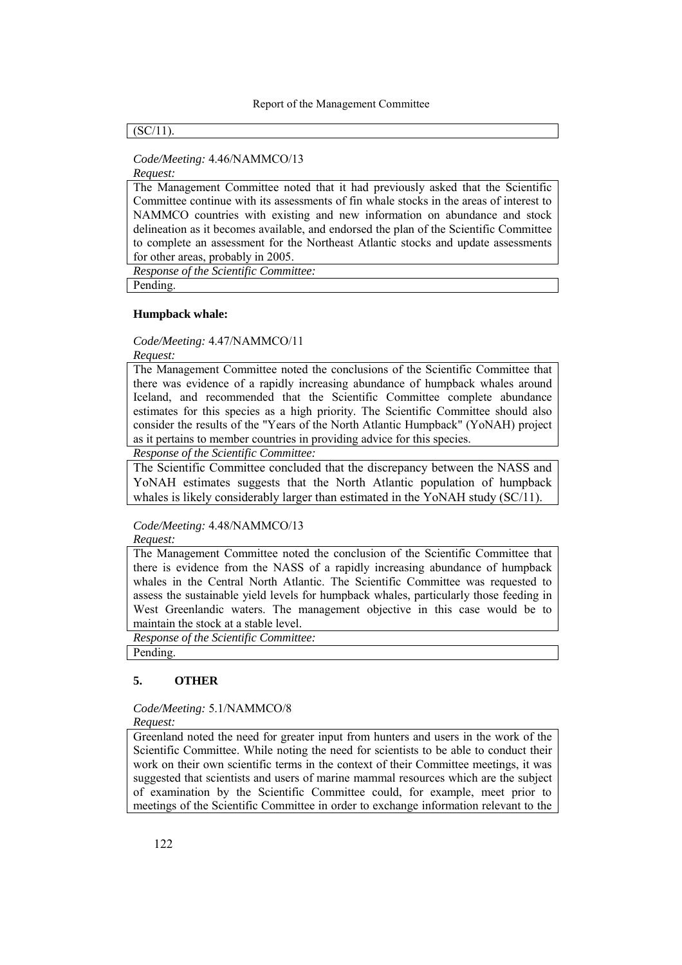### $(SC/11)$ .

# *Code/Meeting:* 4.46/NAMMCO/13

*Request:* 

The Management Committee noted that it had previously asked that the Scientific Committee continue with its assessments of fin whale stocks in the areas of interest to NAMMCO countries with existing and new information on abundance and stock delineation as it becomes available, and endorsed the plan of the Scientific Committee to complete an assessment for the Northeast Atlantic stocks and update assessments for other areas, probably in 2005.

*Response of the Scientific Committee:* 

Pending.

#### **Humpback whale:**

*Code/Meeting:* 4.47/NAMMCO/11

*Request:* 

The Management Committee noted the conclusions of the Scientific Committee that there was evidence of a rapidly increasing abundance of humpback whales around Iceland, and recommended that the Scientific Committee complete abundance estimates for this species as a high priority. The Scientific Committee should also consider the results of the "Years of the North Atlantic Humpback" (YoNAH) project as it pertains to member countries in providing advice for this species.

*Response of the Scientific Committee:* 

The Scientific Committee concluded that the discrepancy between the NASS and YoNAH estimates suggests that the North Atlantic population of humpback whales is likely considerably larger than estimated in the YoNAH study (SC/11).

*Code/Meeting:* 4.48/NAMMCO/13 *Request:* 

The Management Committee noted the conclusion of the Scientific Committee that there is evidence from the NASS of a rapidly increasing abundance of humpback whales in the Central North Atlantic. The Scientific Committee was requested to assess the sustainable yield levels for humpback whales, particularly those feeding in West Greenlandic waters. The management objective in this case would be to maintain the stock at a stable level.

*Response of the Scientific Committee:* 

Pending.

# **5. OTHER**

*Code/Meeting:* 5.1/NAMMCO/8

*Request:* 

Greenland noted the need for greater input from hunters and users in the work of the Scientific Committee. While noting the need for scientists to be able to conduct their work on their own scientific terms in the context of their Committee meetings, it was suggested that scientists and users of marine mammal resources which are the subject of examination by the Scientific Committee could, for example, meet prior to meetings of the Scientific Committee in order to exchange information relevant to the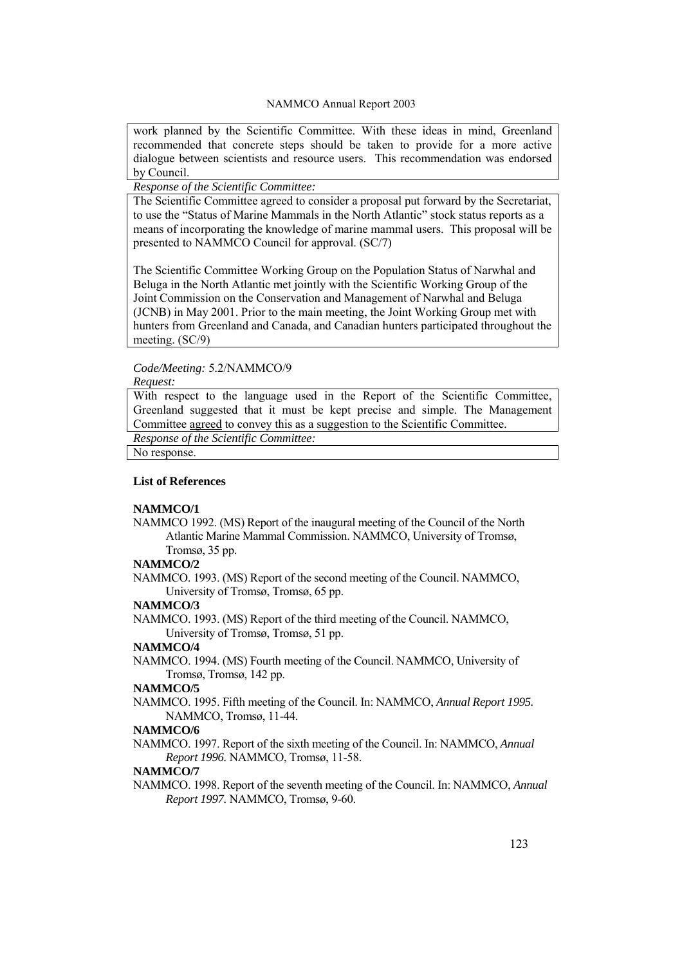work planned by the Scientific Committee. With these ideas in mind, Greenland recommended that concrete steps should be taken to provide for a more active dialogue between scientists and resource users. This recommendation was endorsed by Council.

# *Response of the Scientific Committee:*

The Scientific Committee agreed to consider a proposal put forward by the Secretariat, to use the "Status of Marine Mammals in the North Atlantic" stock status reports as a means of incorporating the knowledge of marine mammal users. This proposal will be presented to NAMMCO Council for approval. (SC/7)

The Scientific Committee Working Group on the Population Status of Narwhal and Beluga in the North Atlantic met jointly with the Scientific Working Group of the Joint Commission on the Conservation and Management of Narwhal and Beluga (JCNB) in May 2001. Prior to the main meeting, the Joint Working Group met with hunters from Greenland and Canada, and Canadian hunters participated throughout the meeting. (SC/9)

# *Code/Meeting:* 5.2/NAMMCO/9

#### *Request:*

With respect to the language used in the Report of the Scientific Committee, Greenland suggested that it must be kept precise and simple. The Management Committee agreed to convey this as a suggestion to the Scientific Committee.

*Response of the Scientific Committee:* 

No response.

### **List of References**

### **NAMMCO/1**

NAMMCO 1992. (MS) Report of the inaugural meeting of the Council of the North Atlantic Marine Mammal Commission. NAMMCO, University of Tromsø, Tromsø, 35 pp.

#### **NAMMCO/2**

NAMMCO. 1993. (MS) Report of the second meeting of the Council. NAMMCO, University of Tromsø, Tromsø, 65 pp.

#### **NAMMCO/3**

NAMMCO. 1993. (MS) Report of the third meeting of the Council. NAMMCO, University of Tromsø, Tromsø, 51 pp.

#### **NAMMCO/4**

NAMMCO. 1994. (MS) Fourth meeting of the Council. NAMMCO, University of Tromsø, Tromsø, 142 pp.

#### **NAMMCO/5**

NAMMCO. 1995. Fifth meeting of the Council. In: NAMMCO, *Annual Report 1995.* NAMMCO, Tromsø, 11-44.

#### **NAMMCO/6**

NAMMCO. 1997. Report of the sixth meeting of the Council. In: NAMMCO, *Annual Report 1996.* NAMMCO, Tromsø, 11-58.

#### **NAMMCO/7**

NAMMCO. 1998. Report of the seventh meeting of the Council. In: NAMMCO, *Annual Report 1997.* NAMMCO, Tromsø, 9-60.